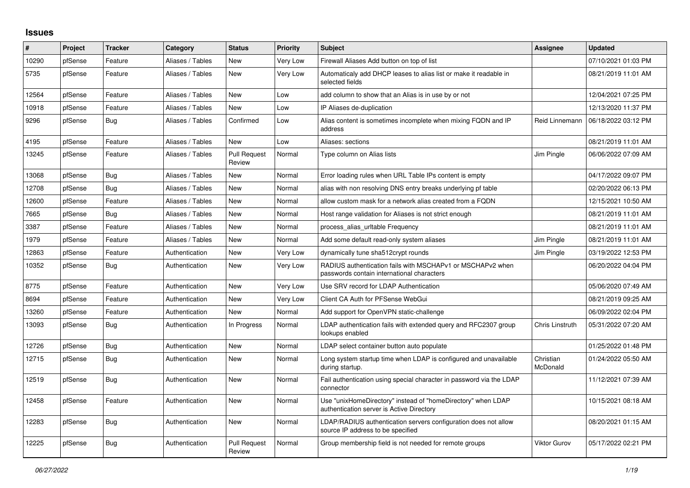## **Issues**

| #     | Project | <b>Tracker</b> | Category         | <b>Status</b>                 | <b>Priority</b> | <b>Subject</b>                                                                                            | Assignee               | <b>Updated</b>      |
|-------|---------|----------------|------------------|-------------------------------|-----------------|-----------------------------------------------------------------------------------------------------------|------------------------|---------------------|
| 10290 | pfSense | Feature        | Aliases / Tables | <b>New</b>                    | Very Low        | Firewall Aliases Add button on top of list                                                                |                        | 07/10/2021 01:03 PM |
| 5735  | pfSense | Feature        | Aliases / Tables | <b>New</b>                    | Very Low        | Automaticaly add DHCP leases to alias list or make it readable in<br>selected fields                      |                        | 08/21/2019 11:01 AM |
| 12564 | pfSense | Feature        | Aliases / Tables | <b>New</b>                    | Low             | add column to show that an Alias is in use by or not                                                      |                        | 12/04/2021 07:25 PM |
| 10918 | pfSense | Feature        | Aliases / Tables | <b>New</b>                    | Low             | IP Aliases de-duplication                                                                                 |                        | 12/13/2020 11:37 PM |
| 9296  | pfSense | <b>Bug</b>     | Aliases / Tables | Confirmed                     | Low             | Alias content is sometimes incomplete when mixing FQDN and IP<br>address                                  | Reid Linnemann         | 06/18/2022 03:12 PM |
| 4195  | pfSense | Feature        | Aliases / Tables | <b>New</b>                    | Low             | Aliases: sections                                                                                         |                        | 08/21/2019 11:01 AM |
| 13245 | pfSense | Feature        | Aliases / Tables | <b>Pull Request</b><br>Review | Normal          | Type column on Alias lists                                                                                | Jim Pingle             | 06/06/2022 07:09 AM |
| 13068 | pfSense | Bug            | Aliases / Tables | <b>New</b>                    | Normal          | Error loading rules when URL Table IPs content is empty                                                   |                        | 04/17/2022 09:07 PM |
| 12708 | pfSense | Bug            | Aliases / Tables | <b>New</b>                    | Normal          | alias with non resolving DNS entry breaks underlying pf table                                             |                        | 02/20/2022 06:13 PM |
| 12600 | pfSense | Feature        | Aliases / Tables | <b>New</b>                    | Normal          | allow custom mask for a network alias created from a FQDN                                                 |                        | 12/15/2021 10:50 AM |
| 7665  | pfSense | <b>Bug</b>     | Aliases / Tables | <b>New</b>                    | Normal          | Host range validation for Aliases is not strict enough                                                    |                        | 08/21/2019 11:01 AM |
| 3387  | pfSense | Feature        | Aliases / Tables | <b>New</b>                    | Normal          | process alias urltable Frequency                                                                          |                        | 08/21/2019 11:01 AM |
| 1979  | pfSense | Feature        | Aliases / Tables | <b>New</b>                    | Normal          | Add some default read-only system aliases                                                                 | Jim Pingle             | 08/21/2019 11:01 AM |
| 12863 | pfSense | Feature        | Authentication   | <b>New</b>                    | Very Low        | dynamically tune sha512crypt rounds                                                                       | Jim Pingle             | 03/19/2022 12:53 PM |
| 10352 | pfSense | Bug            | Authentication   | <b>New</b>                    | Very Low        | RADIUS authentication fails with MSCHAPv1 or MSCHAPv2 when<br>passwords contain international characters  |                        | 06/20/2022 04:04 PM |
| 8775  | pfSense | Feature        | Authentication   | <b>New</b>                    | Very Low        | Use SRV record for LDAP Authentication                                                                    |                        | 05/06/2020 07:49 AM |
| 8694  | pfSense | Feature        | Authentication   | <b>New</b>                    | Very Low        | Client CA Auth for PFSense WebGui                                                                         |                        | 08/21/2019 09:25 AM |
| 13260 | pfSense | Feature        | Authentication   | <b>New</b>                    | Normal          | Add support for OpenVPN static-challenge                                                                  |                        | 06/09/2022 02:04 PM |
| 13093 | pfSense | Bug            | Authentication   | In Progress                   | Normal          | LDAP authentication fails with extended query and RFC2307 group<br>lookups enabled                        | <b>Chris Linstruth</b> | 05/31/2022 07:20 AM |
| 12726 | pfSense | <b>Bug</b>     | Authentication   | <b>New</b>                    | Normal          | LDAP select container button auto populate                                                                |                        | 01/25/2022 01:48 PM |
| 12715 | pfSense | <b>Bug</b>     | Authentication   | <b>New</b>                    | Normal          | Long system startup time when LDAP is configured and unavailable<br>during startup.                       | Christian<br>McDonald  | 01/24/2022 05:50 AM |
| 12519 | pfSense | Bug            | Authentication   | <b>New</b>                    | Normal          | Fail authentication using special character in password via the LDAP<br>connector                         |                        | 11/12/2021 07:39 AM |
| 12458 | pfSense | Feature        | Authentication   | <b>New</b>                    | Normal          | Use "unixHomeDirectory" instead of "homeDirectory" when LDAP<br>authentication server is Active Directory |                        | 10/15/2021 08:18 AM |
| 12283 | pfSense | Bug            | Authentication   | New                           | Normal          | LDAP/RADIUS authentication servers configuration does not allow<br>source IP address to be specified      |                        | 08/20/2021 01:15 AM |
| 12225 | pfSense | <b>Bug</b>     | Authentication   | <b>Pull Request</b><br>Review | Normal          | Group membership field is not needed for remote groups                                                    | Viktor Gurov           | 05/17/2022 02:21 PM |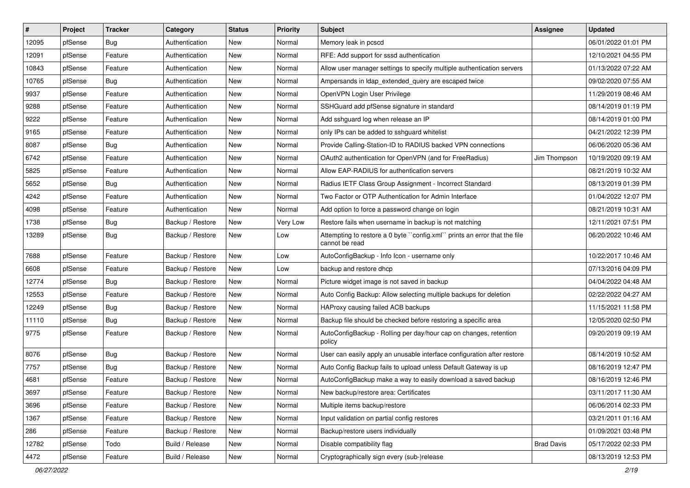| $\vert$ # | Project | <b>Tracker</b> | Category         | <b>Status</b> | <b>Priority</b> | Subject                                                                                     | <b>Assignee</b>   | <b>Updated</b>      |
|-----------|---------|----------------|------------------|---------------|-----------------|---------------------------------------------------------------------------------------------|-------------------|---------------------|
| 12095     | pfSense | Bug            | Authentication   | New           | Normal          | Memory leak in pcscd                                                                        |                   | 06/01/2022 01:01 PM |
| 12091     | pfSense | Feature        | Authentication   | New           | Normal          | RFE: Add support for sssd authentication                                                    |                   | 12/10/2021 04:55 PM |
| 10843     | pfSense | Feature        | Authentication   | New           | Normal          | Allow user manager settings to specify multiple authentication servers                      |                   | 01/13/2022 07:22 AM |
| 10765     | pfSense | <b>Bug</b>     | Authentication   | New           | Normal          | Ampersands in Idap_extended_query are escaped twice                                         |                   | 09/02/2020 07:55 AM |
| 9937      | pfSense | Feature        | Authentication   | New           | Normal          | OpenVPN Login User Privilege                                                                |                   | 11/29/2019 08:46 AM |
| 9288      | pfSense | Feature        | Authentication   | New           | Normal          | SSHGuard add pfSense signature in standard                                                  |                   | 08/14/2019 01:19 PM |
| 9222      | pfSense | Feature        | Authentication   | New           | Normal          | Add sshguard log when release an IP                                                         |                   | 08/14/2019 01:00 PM |
| 9165      | pfSense | Feature        | Authentication   | New           | Normal          | only IPs can be added to sshguard whitelist                                                 |                   | 04/21/2022 12:39 PM |
| 8087      | pfSense | Bug            | Authentication   | New           | Normal          | Provide Calling-Station-ID to RADIUS backed VPN connections                                 |                   | 06/06/2020 05:36 AM |
| 6742      | pfSense | Feature        | Authentication   | New           | Normal          | OAuth2 authentication for OpenVPN (and for FreeRadius)                                      | Jim Thompson      | 10/19/2020 09:19 AM |
| 5825      | pfSense | Feature        | Authentication   | New           | Normal          | Allow EAP-RADIUS for authentication servers                                                 |                   | 08/21/2019 10:32 AM |
| 5652      | pfSense | <b>Bug</b>     | Authentication   | New           | Normal          | Radius IETF Class Group Assignment - Incorrect Standard                                     |                   | 08/13/2019 01:39 PM |
| 4242      | pfSense | Feature        | Authentication   | New           | Normal          | Two Factor or OTP Authentication for Admin Interface                                        |                   | 01/04/2022 12:07 PM |
| 4098      | pfSense | Feature        | Authentication   | New           | Normal          | Add option to force a password change on login                                              |                   | 08/21/2019 10:31 AM |
| 1738      | pfSense | Bug            | Backup / Restore | New           | Very Low        | Restore fails when username in backup is not matching                                       |                   | 12/11/2021 07:51 PM |
| 13289     | pfSense | Bug            | Backup / Restore | New           | Low             | Attempting to restore a 0 byte "config.xml" prints an error that the file<br>cannot be read |                   | 06/20/2022 10:46 AM |
| 7688      | pfSense | Feature        | Backup / Restore | <b>New</b>    | Low             | AutoConfigBackup - Info Icon - username only                                                |                   | 10/22/2017 10:46 AM |
| 6608      | pfSense | Feature        | Backup / Restore | New           | Low             | backup and restore dhcp                                                                     |                   | 07/13/2016 04:09 PM |
| 12774     | pfSense | Bug            | Backup / Restore | New           | Normal          | Picture widget image is not saved in backup                                                 |                   | 04/04/2022 04:48 AM |
| 12553     | pfSense | Feature        | Backup / Restore | New           | Normal          | Auto Config Backup: Allow selecting multiple backups for deletion                           |                   | 02/22/2022 04:27 AM |
| 12249     | pfSense | <b>Bug</b>     | Backup / Restore | New           | Normal          | HAProxy causing failed ACB backups                                                          |                   | 11/15/2021 11:58 PM |
| 11110     | pfSense | <b>Bug</b>     | Backup / Restore | <b>New</b>    | Normal          | Backup file should be checked before restoring a specific area                              |                   | 12/05/2020 02:50 PM |
| 9775      | pfSense | Feature        | Backup / Restore | New           | Normal          | AutoConfigBackup - Rolling per day/hour cap on changes, retention<br>policy                 |                   | 09/20/2019 09:19 AM |
| 8076      | pfSense | Bug            | Backup / Restore | New           | Normal          | User can easily apply an unusable interface configuration after restore                     |                   | 08/14/2019 10:52 AM |
| 7757      | pfSense | Bug            | Backup / Restore | New           | Normal          | Auto Config Backup fails to upload unless Default Gateway is up                             |                   | 08/16/2019 12:47 PM |
| 4681      | pfSense | Feature        | Backup / Restore | <b>New</b>    | Normal          | AutoConfigBackup make a way to easily download a saved backup                               |                   | 08/16/2019 12:46 PM |
| 3697      | pfSense | Feature        | Backup / Restore | New           | Normal          | New backup/restore area: Certificates                                                       |                   | 03/11/2017 11:30 AM |
| 3696      | pfSense | Feature        | Backup / Restore | New           | Normal          | Multiple items backup/restore                                                               |                   | 06/06/2014 02:33 PM |
| 1367      | pfSense | Feature        | Backup / Restore | New           | Normal          | Input validation on partial config restores                                                 |                   | 03/21/2011 01:16 AM |
| 286       | pfSense | Feature        | Backup / Restore | New           | Normal          | Backup/restore users individually                                                           |                   | 01/09/2021 03:48 PM |
| 12782     | pfSense | Todo           | Build / Release  | New           | Normal          | Disable compatibility flag                                                                  | <b>Brad Davis</b> | 05/17/2022 02:33 PM |
| 4472      | pfSense | Feature        | Build / Release  | New           | Normal          | Cryptographically sign every (sub-)release                                                  |                   | 08/13/2019 12:53 PM |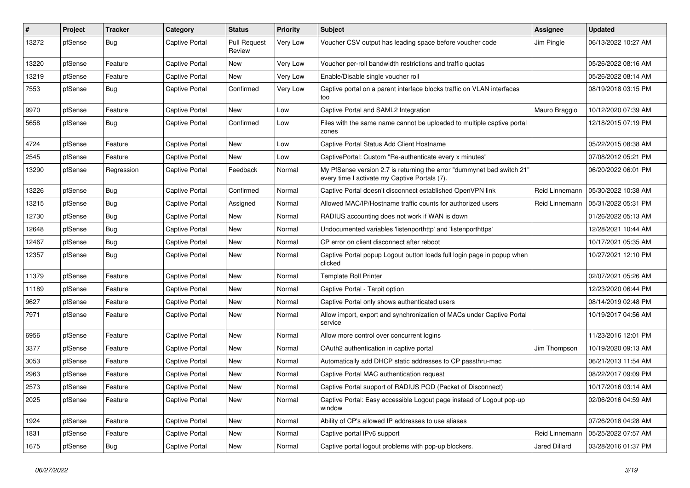| #     | Project | <b>Tracker</b> | Category              | <b>Status</b>                 | <b>Priority</b> | Subject                                                                                                                 | <b>Assignee</b> | <b>Updated</b>      |
|-------|---------|----------------|-----------------------|-------------------------------|-----------------|-------------------------------------------------------------------------------------------------------------------------|-----------------|---------------------|
| 13272 | pfSense | Bug            | <b>Captive Portal</b> | <b>Pull Request</b><br>Review | Very Low        | Voucher CSV output has leading space before voucher code                                                                | Jim Pingle      | 06/13/2022 10:27 AM |
| 13220 | pfSense | Feature        | Captive Portal        | New                           | Very Low        | Voucher per-roll bandwidth restrictions and traffic quotas                                                              |                 | 05/26/2022 08:16 AM |
| 13219 | pfSense | Feature        | <b>Captive Portal</b> | New                           | <b>Very Low</b> | Enable/Disable single voucher roll                                                                                      |                 | 05/26/2022 08:14 AM |
| 7553  | pfSense | Bug            | <b>Captive Portal</b> | Confirmed                     | Very Low        | Captive portal on a parent interface blocks traffic on VLAN interfaces<br>too                                           |                 | 08/19/2018 03:15 PM |
| 9970  | pfSense | Feature        | <b>Captive Portal</b> | <b>New</b>                    | Low             | Captive Portal and SAML2 Integration                                                                                    | Mauro Braggio   | 10/12/2020 07:39 AM |
| 5658  | pfSense | Bug            | <b>Captive Portal</b> | Confirmed                     | Low             | Files with the same name cannot be uploaded to multiple captive portal<br>zones                                         |                 | 12/18/2015 07:19 PM |
| 4724  | pfSense | Feature        | <b>Captive Portal</b> | <b>New</b>                    | Low             | Captive Portal Status Add Client Hostname                                                                               |                 | 05/22/2015 08:38 AM |
| 2545  | pfSense | Feature        | <b>Captive Portal</b> | New                           | Low             | CaptivePortal: Custom "Re-authenticate every x minutes"                                                                 |                 | 07/08/2012 05:21 PM |
| 13290 | pfSense | Regression     | <b>Captive Portal</b> | Feedback                      | Normal          | My PfSense version 2.7 is returning the error "dummynet bad switch 21"<br>every time I activate my Captive Portals (7). |                 | 06/20/2022 06:01 PM |
| 13226 | pfSense | Bug            | <b>Captive Portal</b> | Confirmed                     | Normal          | Captive Portal doesn't disconnect established OpenVPN link                                                              | Reid Linnemann  | 05/30/2022 10:38 AM |
| 13215 | pfSense | Bug            | <b>Captive Portal</b> | Assigned                      | Normal          | Allowed MAC/IP/Hostname traffic counts for authorized users                                                             | Reid Linnemann  | 05/31/2022 05:31 PM |
| 12730 | pfSense | Bug            | <b>Captive Portal</b> | New                           | Normal          | RADIUS accounting does not work if WAN is down                                                                          |                 | 01/26/2022 05:13 AM |
| 12648 | pfSense | Bug            | <b>Captive Portal</b> | <b>New</b>                    | Normal          | Undocumented variables 'listenporthttp' and 'listenporthttps'                                                           |                 | 12/28/2021 10:44 AM |
| 12467 | pfSense | <b>Bug</b>     | <b>Captive Portal</b> | <b>New</b>                    | Normal          | CP error on client disconnect after reboot                                                                              |                 | 10/17/2021 05:35 AM |
| 12357 | pfSense | Bug            | <b>Captive Portal</b> | New                           | Normal          | Captive Portal popup Logout button loads full login page in popup when<br>clicked                                       |                 | 10/27/2021 12:10 PM |
| 11379 | pfSense | Feature        | <b>Captive Portal</b> | <b>New</b>                    | Normal          | <b>Template Roll Printer</b>                                                                                            |                 | 02/07/2021 05:26 AM |
| 11189 | pfSense | Feature        | <b>Captive Portal</b> | New                           | Normal          | Captive Portal - Tarpit option                                                                                          |                 | 12/23/2020 06:44 PM |
| 9627  | pfSense | Feature        | <b>Captive Portal</b> | <b>New</b>                    | Normal          | Captive Portal only shows authenticated users                                                                           |                 | 08/14/2019 02:48 PM |
| 7971  | pfSense | Feature        | <b>Captive Portal</b> | New                           | Normal          | Allow import, export and synchronization of MACs under Captive Portal<br>service                                        |                 | 10/19/2017 04:56 AM |
| 6956  | pfSense | Feature        | <b>Captive Portal</b> | <b>New</b>                    | Normal          | Allow more control over concurrent logins                                                                               |                 | 11/23/2016 12:01 PM |
| 3377  | pfSense | Feature        | Captive Portal        | <b>New</b>                    | Normal          | OAuth2 authentication in captive portal                                                                                 | Jim Thompson    | 10/19/2020 09:13 AM |
| 3053  | pfSense | Feature        | <b>Captive Portal</b> | New                           | Normal          | Automatically add DHCP static addresses to CP passthru-mac                                                              |                 | 06/21/2013 11:54 AM |
| 2963  | pfSense | Feature        | <b>Captive Portal</b> | <b>New</b>                    | Normal          | Captive Portal MAC authentication request                                                                               |                 | 08/22/2017 09:09 PM |
| 2573  | pfSense | Feature        | <b>Captive Portal</b> | <b>New</b>                    | Normal          | Captive Portal support of RADIUS POD (Packet of Disconnect)                                                             |                 | 10/17/2016 03:14 AM |
| 2025  | pfSense | Feature        | <b>Captive Portal</b> | New                           | Normal          | Captive Portal: Easy accessible Logout page instead of Logout pop-up<br>window                                          |                 | 02/06/2016 04:59 AM |
| 1924  | pfSense | Feature        | <b>Captive Portal</b> | New                           | Normal          | Ability of CP's allowed IP addresses to use aliases                                                                     |                 | 07/26/2018 04:28 AM |
| 1831  | pfSense | Feature        | Captive Portal        | New                           | Normal          | Captive portal IPv6 support                                                                                             | Reid Linnemann  | 05/25/2022 07:57 AM |
| 1675  | pfSense | <b>Bug</b>     | Captive Portal        | New                           | Normal          | Captive portal logout problems with pop-up blockers.                                                                    | Jared Dillard   | 03/28/2016 01:37 PM |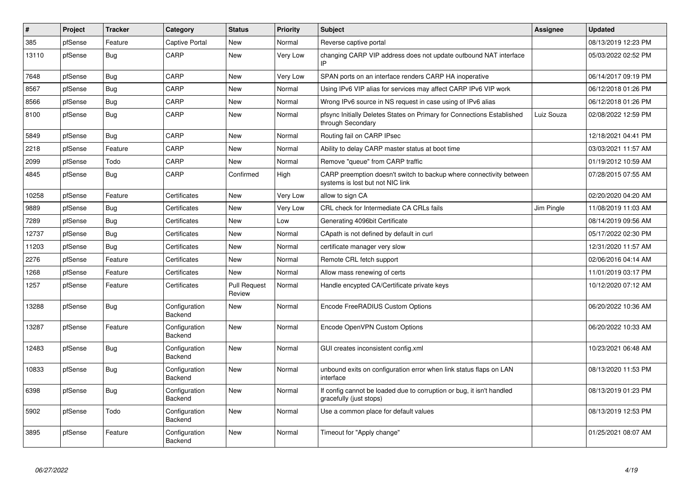| $\vert$ # | Project | <b>Tracker</b> | Category                        | <b>Status</b>                 | <b>Priority</b> | <b>Subject</b>                                                                                          | <b>Assignee</b> | <b>Updated</b>      |
|-----------|---------|----------------|---------------------------------|-------------------------------|-----------------|---------------------------------------------------------------------------------------------------------|-----------------|---------------------|
| 385       | pfSense | Feature        | <b>Captive Portal</b>           | <b>New</b>                    | Normal          | Reverse captive portal                                                                                  |                 | 08/13/2019 12:23 PM |
| 13110     | pfSense | <b>Bug</b>     | CARP                            | <b>New</b>                    | Very Low        | changing CARP VIP address does not update outbound NAT interface                                        |                 | 05/03/2022 02:52 PM |
| 7648      | pfSense | Bug            | CARP                            | New                           | Very Low        | SPAN ports on an interface renders CARP HA inoperative                                                  |                 | 06/14/2017 09:19 PM |
| 8567      | pfSense | Bug            | CARP                            | <b>New</b>                    | Normal          | Using IPv6 VIP alias for services may affect CARP IPv6 VIP work                                         |                 | 06/12/2018 01:26 PM |
| 8566      | pfSense | <b>Bug</b>     | CARP                            | New                           | Normal          | Wrong IPv6 source in NS request in case using of IPv6 alias                                             |                 | 06/12/2018 01:26 PM |
| 8100      | pfSense | <b>Bug</b>     | CARP                            | <b>New</b>                    | Normal          | pfsync Initially Deletes States on Primary for Connections Established<br>through Secondary             | Luiz Souza      | 02/08/2022 12:59 PM |
| 5849      | pfSense | Bug            | CARP                            | <b>New</b>                    | Normal          | Routing fail on CARP IPsec                                                                              |                 | 12/18/2021 04:41 PM |
| 2218      | pfSense | Feature        | CARP                            | <b>New</b>                    | Normal          | Ability to delay CARP master status at boot time                                                        |                 | 03/03/2021 11:57 AM |
| 2099      | pfSense | Todo           | CARP                            | <b>New</b>                    | Normal          | Remove "queue" from CARP traffic                                                                        |                 | 01/19/2012 10:59 AM |
| 4845      | pfSense | Bug            | CARP                            | Confirmed                     | High            | CARP preemption doesn't switch to backup where connectivity between<br>systems is lost but not NIC link |                 | 07/28/2015 07:55 AM |
| 10258     | pfSense | Feature        | Certificates                    | New                           | Very Low        | allow to sign CA                                                                                        |                 | 02/20/2020 04:20 AM |
| 9889      | pfSense | Bug            | Certificates                    | <b>New</b>                    | Very Low        | CRL check for Intermediate CA CRLs fails                                                                | Jim Pingle      | 11/08/2019 11:03 AM |
| 7289      | pfSense | Bug            | Certificates                    | New                           | Low             | Generating 4096bit Certificate                                                                          |                 | 08/14/2019 09:56 AM |
| 12737     | pfSense | <b>Bug</b>     | Certificates                    | <b>New</b>                    | Normal          | CApath is not defined by default in curl                                                                |                 | 05/17/2022 02:30 PM |
| 11203     | pfSense | Bug            | Certificates                    | <b>New</b>                    | Normal          | certificate manager very slow                                                                           |                 | 12/31/2020 11:57 AM |
| 2276      | pfSense | Feature        | Certificates                    | <b>New</b>                    | Normal          | Remote CRL fetch support                                                                                |                 | 02/06/2016 04:14 AM |
| 1268      | pfSense | Feature        | Certificates                    | New                           | Normal          | Allow mass renewing of certs                                                                            |                 | 11/01/2019 03:17 PM |
| 1257      | pfSense | Feature        | Certificates                    | <b>Pull Request</b><br>Review | Normal          | Handle encypted CA/Certificate private keys                                                             |                 | 10/12/2020 07:12 AM |
| 13288     | pfSense | <b>Bug</b>     | Configuration<br>Backend        | New                           | Normal          | Encode FreeRADIUS Custom Options                                                                        |                 | 06/20/2022 10:36 AM |
| 13287     | pfSense | Feature        | Configuration<br>Backend        | <b>New</b>                    | Normal          | Encode OpenVPN Custom Options                                                                           |                 | 06/20/2022 10:33 AM |
| 12483     | pfSense | <b>Bug</b>     | Configuration<br>Backend        | New                           | Normal          | GUI creates inconsistent config.xml                                                                     |                 | 10/23/2021 06:48 AM |
| 10833     | pfSense | <b>Bug</b>     | Configuration<br><b>Backend</b> | <b>New</b>                    | Normal          | unbound exits on configuration error when link status flaps on LAN<br>interface                         |                 | 08/13/2020 11:53 PM |
| 6398      | pfSense | <b>Bug</b>     | Configuration<br>Backend        | <b>New</b>                    | Normal          | If config cannot be loaded due to corruption or bug, it isn't handled<br>gracefully (just stops)        |                 | 08/13/2019 01:23 PM |
| 5902      | pfSense | Todo           | Configuration<br>Backend        | <b>New</b>                    | Normal          | Use a common place for default values                                                                   |                 | 08/13/2019 12:53 PM |
| 3895      | pfSense | Feature        | Configuration<br>Backend        | <b>New</b>                    | Normal          | Timeout for "Apply change"                                                                              |                 | 01/25/2021 08:07 AM |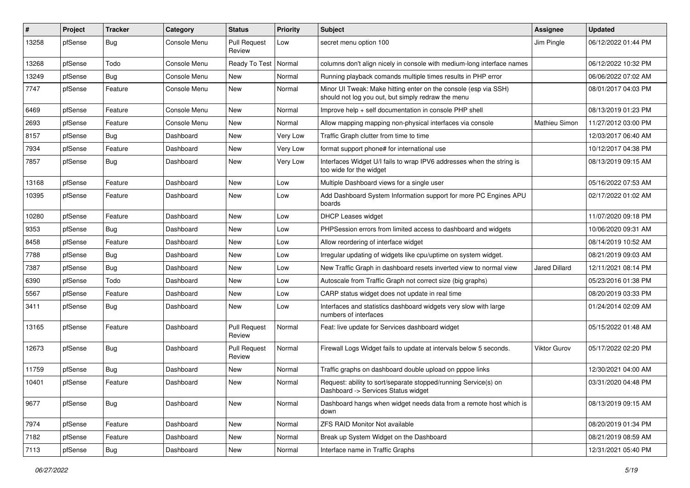| #     | Project | <b>Tracker</b> | Category     | <b>Status</b>                 | <b>Priority</b> | <b>Subject</b>                                                                                                        | Assignee            | <b>Updated</b>      |
|-------|---------|----------------|--------------|-------------------------------|-----------------|-----------------------------------------------------------------------------------------------------------------------|---------------------|---------------------|
| 13258 | pfSense | Bug            | Console Menu | Pull Request<br>Review        | Low             | secret menu option 100                                                                                                | Jim Pingle          | 06/12/2022 01:44 PM |
| 13268 | pfSense | Todo           | Console Menu | Ready To Test                 | Normal          | columns don't align nicely in console with medium-long interface names                                                |                     | 06/12/2022 10:32 PM |
| 13249 | pfSense | Bug            | Console Menu | New                           | Normal          | Running playback comands multiple times results in PHP error                                                          |                     | 06/06/2022 07:02 AM |
| 7747  | pfSense | Feature        | Console Menu | New                           | Normal          | Minor UI Tweak: Make hitting enter on the console (esp via SSH)<br>should not log you out, but simply redraw the menu |                     | 08/01/2017 04:03 PM |
| 6469  | pfSense | Feature        | Console Menu | New                           | Normal          | Improve help + self documentation in console PHP shell                                                                |                     | 08/13/2019 01:23 PM |
| 2693  | pfSense | Feature        | Console Menu | New                           | Normal          | Allow mapping mapping non-physical interfaces via console                                                             | Mathieu Simon       | 11/27/2012 03:00 PM |
| 8157  | pfSense | Bug            | Dashboard    | New                           | Very Low        | Traffic Graph clutter from time to time                                                                               |                     | 12/03/2017 06:40 AM |
| 7934  | pfSense | Feature        | Dashboard    | New                           | Very Low        | format support phone# for international use                                                                           |                     | 10/12/2017 04:38 PM |
| 7857  | pfSense | <b>Bug</b>     | Dashboard    | New                           | Very Low        | Interfaces Widget U/I fails to wrap IPV6 addresses when the string is<br>too wide for the widget                      |                     | 08/13/2019 09:15 AM |
| 13168 | pfSense | Feature        | Dashboard    | <b>New</b>                    | Low             | Multiple Dashboard views for a single user                                                                            |                     | 05/16/2022 07:53 AM |
| 10395 | pfSense | Feature        | Dashboard    | New                           | Low             | Add Dashboard System Information support for more PC Engines APU<br>boards                                            |                     | 02/17/2022 01:02 AM |
| 10280 | pfSense | Feature        | Dashboard    | New                           | Low             | <b>DHCP Leases widget</b>                                                                                             |                     | 11/07/2020 09:18 PM |
| 9353  | pfSense | Bug            | Dashboard    | New                           | Low             | PHPSession errors from limited access to dashboard and widgets                                                        |                     | 10/06/2020 09:31 AM |
| 8458  | pfSense | Feature        | Dashboard    | New                           | Low             | Allow reordering of interface widget                                                                                  |                     | 08/14/2019 10:52 AM |
| 7788  | pfSense | <b>Bug</b>     | Dashboard    | New                           | Low             | Irregular updating of widgets like cpu/uptime on system widget.                                                       |                     | 08/21/2019 09:03 AM |
| 7387  | pfSense | <b>Bug</b>     | Dashboard    | New                           | Low             | New Traffic Graph in dashboard resets inverted view to normal view                                                    | Jared Dillard       | 12/11/2021 08:14 PM |
| 6390  | pfSense | Todo           | Dashboard    | New                           | Low             | Autoscale from Traffic Graph not correct size (big graphs)                                                            |                     | 05/23/2016 01:38 PM |
| 5567  | pfSense | Feature        | Dashboard    | New                           | Low             | CARP status widget does not update in real time                                                                       |                     | 08/20/2019 03:33 PM |
| 3411  | pfSense | <b>Bug</b>     | Dashboard    | New                           | Low             | Interfaces and statistics dashboard widgets very slow with large<br>numbers of interfaces                             |                     | 01/24/2014 02:09 AM |
| 13165 | pfSense | Feature        | Dashboard    | Pull Request<br>Review        | Normal          | Feat: live update for Services dashboard widget                                                                       |                     | 05/15/2022 01:48 AM |
| 12673 | pfSense | Bug            | Dashboard    | <b>Pull Request</b><br>Review | Normal          | Firewall Logs Widget fails to update at intervals below 5 seconds.                                                    | <b>Viktor Gurov</b> | 05/17/2022 02:20 PM |
| 11759 | pfSense | Bug            | Dashboard    | New                           | Normal          | Traffic graphs on dashboard double upload on pppoe links                                                              |                     | 12/30/2021 04:00 AM |
| 10401 | pfSense | Feature        | Dashboard    | New                           | Normal          | Request: ability to sort/separate stopped/running Service(s) on<br>Dashboard -> Services Status widget                |                     | 03/31/2020 04:48 PM |
| 9677  | pfSense | <b>Bug</b>     | Dashboard    | New                           | Normal          | Dashboard hangs when widget needs data from a remote host which is<br>down                                            |                     | 08/13/2019 09:15 AM |
| 7974  | pfSense | Feature        | Dashboard    | New                           | Normal          | ZFS RAID Monitor Not available                                                                                        |                     | 08/20/2019 01:34 PM |
| 7182  | pfSense | Feature        | Dashboard    | New                           | Normal          | Break up System Widget on the Dashboard                                                                               |                     | 08/21/2019 08:59 AM |
| 7113  | pfSense | Bug            | Dashboard    | New                           | Normal          | Interface name in Traffic Graphs                                                                                      |                     | 12/31/2021 05:40 PM |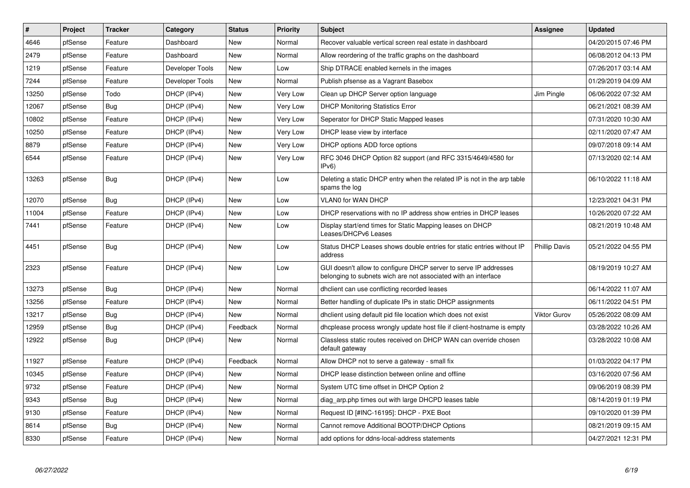| $\sharp$ | Project | Tracker    | Category        | <b>Status</b> | <b>Priority</b> | <b>Subject</b>                                                                                                                     | <b>Assignee</b>      | <b>Updated</b>      |
|----------|---------|------------|-----------------|---------------|-----------------|------------------------------------------------------------------------------------------------------------------------------------|----------------------|---------------------|
| 4646     | pfSense | Feature    | Dashboard       | <b>New</b>    | Normal          | Recover valuable vertical screen real estate in dashboard                                                                          |                      | 04/20/2015 07:46 PM |
| 2479     | pfSense | Feature    | Dashboard       | <b>New</b>    | Normal          | Allow reordering of the traffic graphs on the dashboard                                                                            |                      | 06/08/2012 04:13 PM |
| 1219     | pfSense | Feature    | Developer Tools | New           | Low             | Ship DTRACE enabled kernels in the images                                                                                          |                      | 07/26/2017 03:14 AM |
| 7244     | pfSense | Feature    | Developer Tools | New           | Normal          | Publish pfsense as a Vagrant Basebox                                                                                               |                      | 01/29/2019 04:09 AM |
| 13250    | pfSense | Todo       | DHCP (IPv4)     | New           | Very Low        | Clean up DHCP Server option language                                                                                               | Jim Pingle           | 06/06/2022 07:32 AM |
| 12067    | pfSense | Bug        | DHCP (IPv4)     | <b>New</b>    | Very Low        | <b>DHCP Monitoring Statistics Error</b>                                                                                            |                      | 06/21/2021 08:39 AM |
| 10802    | pfSense | Feature    | DHCP (IPv4)     | New           | Very Low        | Seperator for DHCP Static Mapped leases                                                                                            |                      | 07/31/2020 10:30 AM |
| 10250    | pfSense | Feature    | DHCP (IPv4)     | New           | <b>Very Low</b> | DHCP lease view by interface                                                                                                       |                      | 02/11/2020 07:47 AM |
| 8879     | pfSense | Feature    | DHCP (IPv4)     | New           | Very Low        | DHCP options ADD force options                                                                                                     |                      | 09/07/2018 09:14 AM |
| 6544     | pfSense | Feature    | DHCP (IPv4)     | <b>New</b>    | Very Low        | RFC 3046 DHCP Option 82 support (and RFC 3315/4649/4580 for<br>IPv6)                                                               |                      | 07/13/2020 02:14 AM |
| 13263    | pfSense | Bug        | DHCP (IPv4)     | <b>New</b>    | Low             | Deleting a static DHCP entry when the related IP is not in the arp table<br>spams the log                                          |                      | 06/10/2022 11:18 AM |
| 12070    | pfSense | Bug        | DHCP (IPv4)     | <b>New</b>    | Low             | <b>VLAN0 for WAN DHCP</b>                                                                                                          |                      | 12/23/2021 04:31 PM |
| 11004    | pfSense | Feature    | DHCP (IPv4)     | New           | Low             | DHCP reservations with no IP address show entries in DHCP leases                                                                   |                      | 10/26/2020 07:22 AM |
| 7441     | pfSense | Feature    | DHCP (IPv4)     | <b>New</b>    | Low             | Display start/end times for Static Mapping leases on DHCP<br>Leases/DHCPv6 Leases                                                  |                      | 08/21/2019 10:48 AM |
| 4451     | pfSense | <b>Bug</b> | DHCP (IPv4)     | New           | Low             | Status DHCP Leases shows double entries for static entries without IP<br>address                                                   | <b>Phillip Davis</b> | 05/21/2022 04:55 PM |
| 2323     | pfSense | Feature    | DHCP (IPv4)     | New           | Low             | GUI doesn't allow to configure DHCP server to serve IP addresses<br>belonging to subnets wich are not associated with an interface |                      | 08/19/2019 10:27 AM |
| 13273    | pfSense | Bug        | DHCP (IPv4)     | <b>New</b>    | Normal          | dhclient can use conflicting recorded leases                                                                                       |                      | 06/14/2022 11:07 AM |
| 13256    | pfSense | Feature    | DHCP (IPv4)     | New           | Normal          | Better handling of duplicate IPs in static DHCP assignments                                                                        |                      | 06/11/2022 04:51 PM |
| 13217    | pfSense | <b>Bug</b> | DHCP (IPv4)     | <b>New</b>    | Normal          | dhclient using default pid file location which does not exist                                                                      | Viktor Gurov         | 05/26/2022 08:09 AM |
| 12959    | pfSense | Bug        | DHCP (IPv4)     | Feedback      | Normal          | dhoplease process wrongly update host file if client-hostname is empty                                                             |                      | 03/28/2022 10:26 AM |
| 12922    | pfSense | Bug        | DHCP (IPv4)     | New           | Normal          | Classless static routes received on DHCP WAN can override chosen<br>default gateway                                                |                      | 03/28/2022 10:08 AM |
| 11927    | pfSense | Feature    | DHCP (IPv4)     | Feedback      | Normal          | Allow DHCP not to serve a gateway - small fix                                                                                      |                      | 01/03/2022 04:17 PM |
| 10345    | pfSense | Feature    | DHCP (IPv4)     | New           | Normal          | DHCP lease distinction between online and offline                                                                                  |                      | 03/16/2020 07:56 AM |
| 9732     | pfSense | Feature    | DHCP (IPv4)     | <b>New</b>    | Normal          | System UTC time offset in DHCP Option 2                                                                                            |                      | 09/06/2019 08:39 PM |
| 9343     | pfSense | Bug        | DHCP (IPv4)     | New           | Normal          | diag arp.php times out with large DHCPD leases table                                                                               |                      | 08/14/2019 01:19 PM |
| 9130     | pfSense | Feature    | DHCP (IPv4)     | <b>New</b>    | Normal          | Request ID [#INC-16195]: DHCP - PXE Boot                                                                                           |                      | 09/10/2020 01:39 PM |
| 8614     | pfSense | Bug        | DHCP (IPv4)     | New           | Normal          | Cannot remove Additional BOOTP/DHCP Options                                                                                        |                      | 08/21/2019 09:15 AM |
| 8330     | pfSense | Feature    | DHCP (IPv4)     | <b>New</b>    | Normal          | add options for ddns-local-address statements                                                                                      |                      | 04/27/2021 12:31 PM |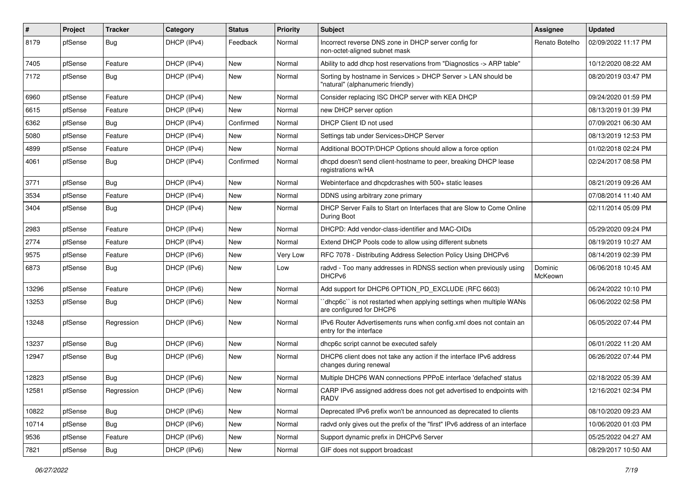| #     | Project | <b>Tracker</b> | Category    | <b>Status</b> | Priority | <b>Subject</b>                                                                                     | <b>Assignee</b>    | <b>Updated</b>      |
|-------|---------|----------------|-------------|---------------|----------|----------------------------------------------------------------------------------------------------|--------------------|---------------------|
| 8179  | pfSense | Bug            | DHCP (IPv4) | Feedback      | Normal   | Incorrect reverse DNS zone in DHCP server config for<br>non-octet-aligned subnet mask              | Renato Botelho     | 02/09/2022 11:17 PM |
| 7405  | pfSense | Feature        | DHCP (IPv4) | New           | Normal   | Ability to add dhcp host reservations from "Diagnostics -> ARP table"                              |                    | 10/12/2020 08:22 AM |
| 7172  | pfSense | Bug            | DHCP (IPv4) | New           | Normal   | Sorting by hostname in Services > DHCP Server > LAN should be<br>"natural" (alphanumeric friendly) |                    | 08/20/2019 03:47 PM |
| 6960  | pfSense | Feature        | DHCP (IPv4) | New           | Normal   | Consider replacing ISC DHCP server with KEA DHCP                                                   |                    | 09/24/2020 01:59 PM |
| 6615  | pfSense | Feature        | DHCP (IPv4) | New           | Normal   | new DHCP server option                                                                             |                    | 08/13/2019 01:39 PM |
| 6362  | pfSense | Bug            | DHCP (IPv4) | Confirmed     | Normal   | DHCP Client ID not used                                                                            |                    | 07/09/2021 06:30 AM |
| 5080  | pfSense | Feature        | DHCP (IPv4) | New           | Normal   | Settings tab under Services>DHCP Server                                                            |                    | 08/13/2019 12:53 PM |
| 4899  | pfSense | Feature        | DHCP (IPv4) | New           | Normal   | Additional BOOTP/DHCP Options should allow a force option                                          |                    | 01/02/2018 02:24 PM |
| 4061  | pfSense | Bug            | DHCP (IPv4) | Confirmed     | Normal   | dhcpd doesn't send client-hostname to peer, breaking DHCP lease<br>registrations w/HA              |                    | 02/24/2017 08:58 PM |
| 3771  | pfSense | Bug            | DHCP (IPv4) | New           | Normal   | Webinterface and dhcpdcrashes with 500+ static leases                                              |                    | 08/21/2019 09:26 AM |
| 3534  | pfSense | Feature        | DHCP (IPv4) | New           | Normal   | DDNS using arbitrary zone primary                                                                  |                    | 07/08/2014 11:40 AM |
| 3404  | pfSense | Bug            | DHCP (IPv4) | New           | Normal   | DHCP Server Fails to Start on Interfaces that are Slow to Come Online<br>During Boot               |                    | 02/11/2014 05:09 PM |
| 2983  | pfSense | Feature        | DHCP (IPv4) | New           | Normal   | DHCPD: Add vendor-class-identifier and MAC-OIDs                                                    |                    | 05/29/2020 09:24 PM |
| 2774  | pfSense | Feature        | DHCP (IPv4) | New           | Normal   | Extend DHCP Pools code to allow using different subnets                                            |                    | 08/19/2019 10:27 AM |
| 9575  | pfSense | Feature        | DHCP (IPv6) | New           | Very Low | RFC 7078 - Distributing Address Selection Policy Using DHCPv6                                      |                    | 08/14/2019 02:39 PM |
| 6873  | pfSense | Bug            | DHCP (IPv6) | New           | Low      | radvd - Too many addresses in RDNSS section when previously using<br>DHCP <sub>v6</sub>            | Dominic<br>McKeown | 06/06/2018 10:45 AM |
| 13296 | pfSense | Feature        | DHCP (IPv6) | New           | Normal   | Add support for DHCP6 OPTION_PD_EXCLUDE (RFC 6603)                                                 |                    | 06/24/2022 10:10 PM |
| 13253 | pfSense | Bug            | DHCP (IPv6) | New           | Normal   | `dhcp6c`` is not restarted when applying settings when multiple WANs<br>are configured for DHCP6   |                    | 06/06/2022 02:58 PM |
| 13248 | pfSense | Regression     | DHCP (IPv6) | New           | Normal   | IPv6 Router Advertisements runs when config.xml does not contain an<br>entry for the interface     |                    | 06/05/2022 07:44 PM |
| 13237 | pfSense | <b>Bug</b>     | DHCP (IPv6) | New           | Normal   | dhcp6c script cannot be executed safely                                                            |                    | 06/01/2022 11:20 AM |
| 12947 | pfSense | Bug            | DHCP (IPv6) | New           | Normal   | DHCP6 client does not take any action if the interface IPv6 address<br>changes during renewal      |                    | 06/26/2022 07:44 PM |
| 12823 | pfSense | Bug            | DHCP (IPv6) | New           | Normal   | Multiple DHCP6 WAN connections PPPoE interface 'defached' status                                   |                    | 02/18/2022 05:39 AM |
| 12581 | pfSense | Regression     | DHCP (IPv6) | New           | Normal   | CARP IPv6 assigned address does not get advertised to endpoints with<br><b>RADV</b>                |                    | 12/16/2021 02:34 PM |
| 10822 | pfSense | Bug            | DHCP (IPv6) | New           | Normal   | Deprecated IPv6 prefix won't be announced as deprecated to clients                                 |                    | 08/10/2020 09:23 AM |
| 10714 | pfSense | <b>Bug</b>     | DHCP (IPv6) | New           | Normal   | radvd only gives out the prefix of the "first" IPv6 address of an interface                        |                    | 10/06/2020 01:03 PM |
| 9536  | pfSense | Feature        | DHCP (IPv6) | New           | Normal   | Support dynamic prefix in DHCPv6 Server                                                            |                    | 05/25/2022 04:27 AM |
| 7821  | pfSense | Bug            | DHCP (IPv6) | New           | Normal   | GIF does not support broadcast                                                                     |                    | 08/29/2017 10:50 AM |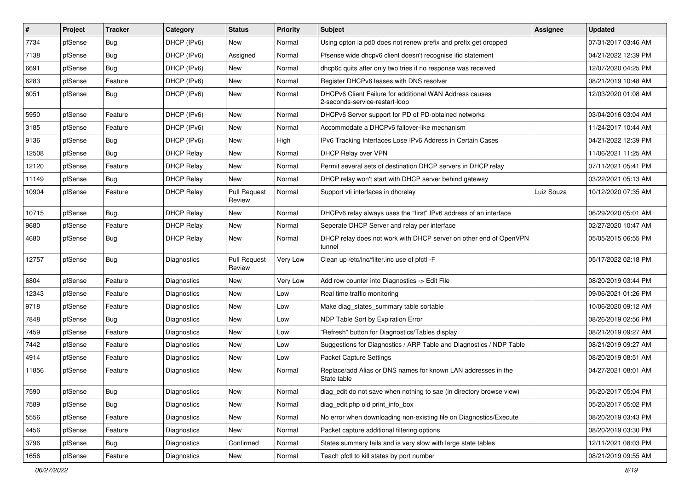| $\vert$ # | Project | Tracker    | Category           | <b>Status</b>                 | <b>Priority</b> | <b>Subject</b>                                                                            | <b>Assignee</b> | <b>Updated</b>      |
|-----------|---------|------------|--------------------|-------------------------------|-----------------|-------------------------------------------------------------------------------------------|-----------------|---------------------|
| 7734      | pfSense | <b>Bug</b> | DHCP (IPv6)        | New                           | Normal          | Using opton ia pd0 does not renew prefix and prefix get dropped                           |                 | 07/31/2017 03:46 AM |
| 7138      | pfSense | Bug        | DHCP (IPv6)        | Assigned                      | Normal          | Pfsense wide dhcpv6 client doesn't recognise ifid statement                               |                 | 04/21/2022 12:39 PM |
| 6691      | pfSense | Bug        | DHCP (IPv6)        | New                           | Normal          | dhcp6c quits after only two tries if no response was received                             |                 | 12/07/2020 04:25 PM |
| 6283      | pfSense | Feature    | DHCP (IPv6)        | New                           | Normal          | Register DHCPv6 leases with DNS resolver                                                  |                 | 08/21/2019 10:48 AM |
| 6051      | pfSense | <b>Bug</b> | DHCP (IPv6)        | <b>New</b>                    | Normal          | DHCPv6 Client Failure for additional WAN Address causes<br>2-seconds-service-restart-loop |                 | 12/03/2020 01:08 AM |
| 5950      | pfSense | Feature    | DHCP (IPv6)        | <b>New</b>                    | Normal          | DHCPv6 Server support for PD of PD-obtained networks                                      |                 | 03/04/2016 03:04 AM |
| 3185      | pfSense | Feature    | DHCP (IPv6)        | New                           | Normal          | Accommodate a DHCPv6 failover-like mechanism                                              |                 | 11/24/2017 10:44 AM |
| 9136      | pfSense | Bug        | DHCP (IPv6)        | New                           | High            | IPv6 Tracking Interfaces Lose IPv6 Address in Certain Cases                               |                 | 04/21/2022 12:39 PM |
| 12508     | pfSense | Bug        | <b>DHCP Relay</b>  | <b>New</b>                    | Normal          | DHCP Relay over VPN                                                                       |                 | 11/06/2021 11:25 AM |
| 12120     | pfSense | Feature    | <b>DHCP Relay</b>  | New                           | Normal          | Permit several sets of destination DHCP servers in DHCP relay                             |                 | 07/11/2021 05:41 PM |
| 11149     | pfSense | <b>Bug</b> | <b>DHCP Relay</b>  | New                           | Normal          | DHCP relay won't start with DHCP server behind gateway                                    |                 | 03/22/2021 05:13 AM |
| 10904     | pfSense | Feature    | <b>DHCP Relay</b>  | <b>Pull Request</b><br>Review | Normal          | Support vti interfaces in dhcrelay                                                        | Luiz Souza      | 10/12/2020 07:35 AM |
| 10715     | pfSense | Bug        | <b>DHCP Relay</b>  | New                           | Normal          | DHCPv6 relay always uses the "first" IPv6 address of an interface                         |                 | 06/29/2020 05:01 AM |
| 9680      | pfSense | Feature    | <b>DHCP Relay</b>  | New                           | Normal          | Seperate DHCP Server and relay per interface                                              |                 | 02/27/2020 10:47 AM |
| 4680      | pfSense | <b>Bug</b> | <b>DHCP Relay</b>  | New                           | Normal          | DHCP relay does not work with DHCP server on other end of OpenVPN<br>tunnel               |                 | 05/05/2015 06:55 PM |
| 12757     | pfSense | Bug        | Diagnostics        | <b>Pull Request</b><br>Review | Very Low        | Clean up /etc/inc/filter.inc use of pfctl -F                                              |                 | 05/17/2022 02:18 PM |
| 6804      | pfSense | Feature    | Diagnostics        | <b>New</b>                    | Very Low        | Add row counter into Diagnostics -> Edit File                                             |                 | 08/20/2019 03:44 PM |
| 12343     | pfSense | Feature    | Diagnostics        | New                           | Low             | Real time traffic monitoring                                                              |                 | 09/06/2021 01:26 PM |
| 9718      | pfSense | Feature    | Diagnostics        | New                           | Low             | Make diag_states_summary table sortable                                                   |                 | 10/06/2020 09:12 AM |
| 7848      | pfSense | Bug        | Diagnostics        | New                           | Low             | NDP Table Sort by Expiration Error                                                        |                 | 08/26/2019 02:56 PM |
| 7459      | pfSense | Feature    | <b>Diagnostics</b> | New                           | Low             | "Refresh" button for Diagnostics/Tables display                                           |                 | 08/21/2019 09:27 AM |
| 7442      | pfSense | Feature    | <b>Diagnostics</b> | New                           | Low             | Suggestions for Diagnostics / ARP Table and Diagnostics / NDP Table                       |                 | 08/21/2019 09:27 AM |
| 4914      | pfSense | Feature    | Diagnostics        | New                           | Low             | Packet Capture Settings                                                                   |                 | 08/20/2019 08:51 AM |
| 11856     | pfSense | Feature    | Diagnostics        | New                           | Normal          | Replace/add Alias or DNS names for known LAN addresses in the<br>State table              |                 | 04/27/2021 08:01 AM |
| 7590      | pfSense | Bug        | Diagnostics        | New                           | Normal          | diag edit do not save when nothing to sae (in directory browse view)                      |                 | 05/20/2017 05:04 PM |
| 7589      | pfSense | Bug        | Diagnostics        | New                           | Normal          | diag_edit.php old print_info_box                                                          |                 | 05/20/2017 05:02 PM |
| 5556      | pfSense | Feature    | Diagnostics        | New                           | Normal          | No error when downloading non-existing file on Diagnostics/Execute                        |                 | 08/20/2019 03:43 PM |
| 4456      | pfSense | Feature    | Diagnostics        | New                           | Normal          | Packet capture additional filtering options                                               |                 | 08/20/2019 03:30 PM |
| 3796      | pfSense | <b>Bug</b> | Diagnostics        | Confirmed                     | Normal          | States summary fails and is very slow with large state tables                             |                 | 12/11/2021 08:03 PM |
| 1656      | pfSense | Feature    | Diagnostics        | New                           | Normal          | Teach pfctl to kill states by port number                                                 |                 | 08/21/2019 09:55 AM |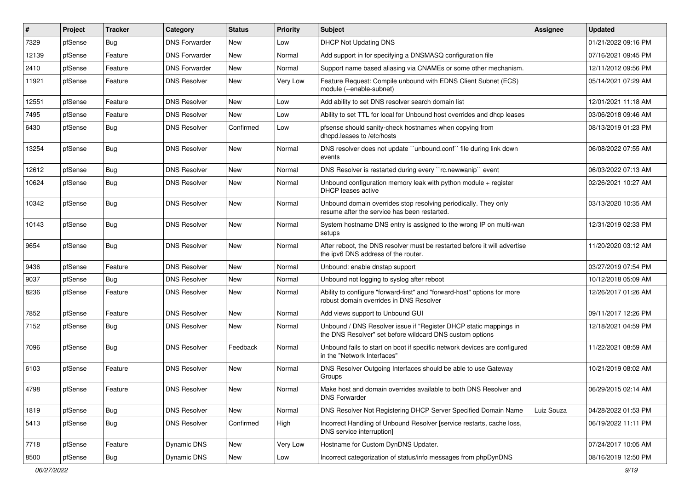| #     | Project | <b>Tracker</b> | Category             | <b>Status</b> | <b>Priority</b> | Subject                                                                                                                       | <b>Assignee</b> | <b>Updated</b>      |
|-------|---------|----------------|----------------------|---------------|-----------------|-------------------------------------------------------------------------------------------------------------------------------|-----------------|---------------------|
| 7329  | pfSense | <b>Bug</b>     | <b>DNS Forwarder</b> | New           | Low             | <b>DHCP Not Updating DNS</b>                                                                                                  |                 | 01/21/2022 09:16 PM |
| 12139 | pfSense | Feature        | <b>DNS Forwarder</b> | <b>New</b>    | Normal          | Add support in for specifying a DNSMASQ configuration file                                                                    |                 | 07/16/2021 09:45 PM |
| 2410  | pfSense | Feature        | <b>DNS Forwarder</b> | New           | Normal          | Support name based aliasing via CNAMEs or some other mechanism.                                                               |                 | 12/11/2012 09:56 PM |
| 11921 | pfSense | Feature        | <b>DNS Resolver</b>  | <b>New</b>    | <b>Very Low</b> | Feature Request: Compile unbound with EDNS Client Subnet (ECS)<br>module (--enable-subnet)                                    |                 | 05/14/2021 07:29 AM |
| 12551 | pfSense | Feature        | <b>DNS Resolver</b>  | <b>New</b>    | Low             | Add ability to set DNS resolver search domain list                                                                            |                 | 12/01/2021 11:18 AM |
| 7495  | pfSense | Feature        | <b>DNS Resolver</b>  | <b>New</b>    | Low             | Ability to set TTL for local for Unbound host overrides and dhcp leases                                                       |                 | 03/06/2018 09:46 AM |
| 6430  | pfSense | Bug            | <b>DNS Resolver</b>  | Confirmed     | Low             | pfsense should sanity-check hostnames when copying from<br>dhcpd.leases to /etc/hosts                                         |                 | 08/13/2019 01:23 PM |
| 13254 | pfSense | Bug            | <b>DNS Resolver</b>  | <b>New</b>    | Normal          | DNS resolver does not update "unbound.conf" file during link down<br>events                                                   |                 | 06/08/2022 07:55 AM |
| 12612 | pfSense | Bug            | <b>DNS Resolver</b>  | New           | Normal          | DNS Resolver is restarted during every "rc.newwanip" event                                                                    |                 | 06/03/2022 07:13 AM |
| 10624 | pfSense | Bug            | <b>DNS Resolver</b>  | <b>New</b>    | Normal          | Unbound configuration memory leak with python module + register<br>DHCP leases active                                         |                 | 02/26/2021 10:27 AM |
| 10342 | pfSense | Bug            | <b>DNS Resolver</b>  | <b>New</b>    | Normal          | Unbound domain overrides stop resolving periodically. They only<br>resume after the service has been restarted.               |                 | 03/13/2020 10:35 AM |
| 10143 | pfSense | Bug            | <b>DNS Resolver</b>  | New           | Normal          | System hostname DNS entry is assigned to the wrong IP on multi-wan<br>setups                                                  |                 | 12/31/2019 02:33 PM |
| 9654  | pfSense | Bug            | <b>DNS Resolver</b>  | New           | Normal          | After reboot, the DNS resolver must be restarted before it will advertise<br>the ipv6 DNS address of the router.              |                 | 11/20/2020 03:12 AM |
| 9436  | pfSense | Feature        | <b>DNS Resolver</b>  | <b>New</b>    | Normal          | Unbound: enable dnstap support                                                                                                |                 | 03/27/2019 07:54 PM |
| 9037  | pfSense | Bug            | <b>DNS Resolver</b>  | New           | Normal          | Unbound not logging to syslog after reboot                                                                                    |                 | 10/12/2018 05:09 AM |
| 8236  | pfSense | Feature        | <b>DNS Resolver</b>  | New           | Normal          | Ability to configure "forward-first" and "forward-host" options for more<br>robust domain overrides in DNS Resolver           |                 | 12/26/2017 01:26 AM |
| 7852  | pfSense | Feature        | <b>DNS Resolver</b>  | <b>New</b>    | Normal          | Add views support to Unbound GUI                                                                                              |                 | 09/11/2017 12:26 PM |
| 7152  | pfSense | Bug            | <b>DNS Resolver</b>  | New           | Normal          | Unbound / DNS Resolver issue if "Register DHCP static mappings in<br>the DNS Resolver" set before wildcard DNS custom options |                 | 12/18/2021 04:59 PM |
| 7096  | pfSense | Bug            | <b>DNS Resolver</b>  | Feedback      | Normal          | Unbound fails to start on boot if specific network devices are configured<br>in the "Network Interfaces"                      |                 | 11/22/2021 08:59 AM |
| 6103  | pfSense | Feature        | <b>DNS Resolver</b>  | <b>New</b>    | Normal          | DNS Resolver Outgoing Interfaces should be able to use Gateway<br>Groups                                                      |                 | 10/21/2019 08:02 AM |
| 4798  | pfSense | Feature        | <b>DNS Resolver</b>  | New           | Normal          | Make host and domain overrides available to both DNS Resolver and<br><b>DNS Forwarder</b>                                     |                 | 06/29/2015 02:14 AM |
| 1819  | pfSense | Bug            | <b>DNS Resolver</b>  | New           | Normal          | DNS Resolver Not Registering DHCP Server Specified Domain Name                                                                | Luiz Souza      | 04/28/2022 01:53 PM |
| 5413  | pfSense | <b>Bug</b>     | <b>DNS Resolver</b>  | Confirmed     | High            | Incorrect Handling of Unbound Resolver [service restarts, cache loss,<br>DNS service interruption]                            |                 | 06/19/2022 11:11 PM |
| 7718  | pfSense | Feature        | Dynamic DNS          | New           | Very Low        | Hostname for Custom DynDNS Updater.                                                                                           |                 | 07/24/2017 10:05 AM |
| 8500  | pfSense | <b>Bug</b>     | Dynamic DNS          | New           | Low             | Incorrect categorization of status/info messages from phpDynDNS                                                               |                 | 08/16/2019 12:50 PM |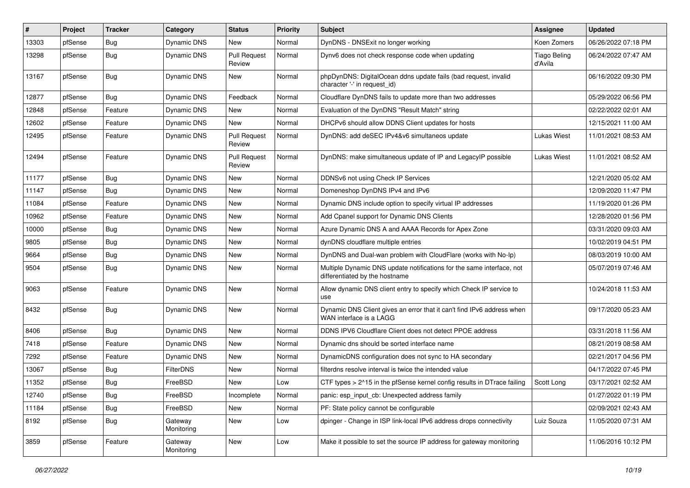| #     | Project | Tracker    | Category              | <b>Status</b>                 | <b>Priority</b> | <b>Subject</b>                                                                                          | <b>Assignee</b>                | <b>Updated</b>      |
|-------|---------|------------|-----------------------|-------------------------------|-----------------|---------------------------------------------------------------------------------------------------------|--------------------------------|---------------------|
| 13303 | pfSense | Bug        | Dynamic DNS           | New                           | Normal          | DynDNS - DNSExit no longer working                                                                      | Koen Zomers                    | 06/26/2022 07:18 PM |
| 13298 | pfSense | Bug        | Dynamic DNS           | <b>Pull Request</b><br>Review | Normal          | Dynv6 does not check response code when updating                                                        | <b>Tiago Beling</b><br>d'Avila | 06/24/2022 07:47 AM |
| 13167 | pfSense | Bug        | <b>Dynamic DNS</b>    | New                           | Normal          | phpDynDNS: DigitalOcean ddns update fails (bad request, invalid<br>character '-' in request_id)         |                                | 06/16/2022 09:30 PM |
| 12877 | pfSense | Bug        | Dynamic DNS           | Feedback                      | Normal          | Cloudflare DynDNS fails to update more than two addresses                                               |                                | 05/29/2022 06:56 PM |
| 12848 | pfSense | Feature    | <b>Dynamic DNS</b>    | New                           | Normal          | Evaluation of the DynDNS "Result Match" string                                                          |                                | 02/22/2022 02:01 AM |
| 12602 | pfSense | Feature    | Dynamic DNS           | <b>New</b>                    | Normal          | DHCPv6 should allow DDNS Client updates for hosts                                                       |                                | 12/15/2021 11:00 AM |
| 12495 | pfSense | Feature    | <b>Dynamic DNS</b>    | <b>Pull Request</b><br>Review | Normal          | DynDNS: add deSEC IPv4&v6 simultaneos update                                                            | Lukas Wiest                    | 11/01/2021 08:53 AM |
| 12494 | pfSense | Feature    | Dynamic DNS           | <b>Pull Request</b><br>Review | Normal          | DynDNS: make simultaneous update of IP and LegacyIP possible                                            | <b>Lukas Wiest</b>             | 11/01/2021 08:52 AM |
| 11177 | pfSense | Bug        | Dynamic DNS           | New                           | Normal          | DDNSv6 not using Check IP Services                                                                      |                                | 12/21/2020 05:02 AM |
| 11147 | pfSense | Bug        | Dynamic DNS           | New                           | Normal          | Domeneshop DynDNS IPv4 and IPv6                                                                         |                                | 12/09/2020 11:47 PM |
| 11084 | pfSense | Feature    | Dynamic DNS           | New                           | Normal          | Dynamic DNS include option to specify virtual IP addresses                                              |                                | 11/19/2020 01:26 PM |
| 10962 | pfSense | Feature    | Dynamic DNS           | New                           | Normal          | Add Cpanel support for Dynamic DNS Clients                                                              |                                | 12/28/2020 01:56 PM |
| 10000 | pfSense | Bug        | Dynamic DNS           | New                           | Normal          | Azure Dynamic DNS A and AAAA Records for Apex Zone                                                      |                                | 03/31/2020 09:03 AM |
| 9805  | pfSense | Bug        | Dynamic DNS           | New                           | Normal          | dynDNS cloudflare multiple entries                                                                      |                                | 10/02/2019 04:51 PM |
| 9664  | pfSense | Bug        | Dynamic DNS           | New                           | Normal          | DynDNS and Dual-wan problem with CloudFlare (works with No-Ip)                                          |                                | 08/03/2019 10:00 AM |
| 9504  | pfSense | Bug        | <b>Dynamic DNS</b>    | New                           | Normal          | Multiple Dynamic DNS update notifications for the same interface, not<br>differentiated by the hostname |                                | 05/07/2019 07:46 AM |
| 9063  | pfSense | Feature    | Dynamic DNS           | New                           | Normal          | Allow dynamic DNS client entry to specify which Check IP service to<br>use                              |                                | 10/24/2018 11:53 AM |
| 8432  | pfSense | Bug        | <b>Dynamic DNS</b>    | <b>New</b>                    | Normal          | Dynamic DNS Client gives an error that it can't find IPv6 address when<br>WAN interface is a LAGG       |                                | 09/17/2020 05:23 AM |
| 8406  | pfSense | Bug        | Dynamic DNS           | New                           | Normal          | DDNS IPV6 Cloudflare Client does not detect PPOE address                                                |                                | 03/31/2018 11:56 AM |
| 7418  | pfSense | Feature    | Dynamic DNS           | <b>New</b>                    | Normal          | Dynamic dns should be sorted interface name                                                             |                                | 08/21/2019 08:58 AM |
| 7292  | pfSense | Feature    | Dynamic DNS           | New                           | Normal          | DynamicDNS configuration does not sync to HA secondary                                                  |                                | 02/21/2017 04:56 PM |
| 13067 | pfSense | Bug        | FilterDNS             | New                           | Normal          | filterdns resolve interval is twice the intended value                                                  |                                | 04/17/2022 07:45 PM |
| 11352 | pfSense | Bug        | FreeBSD               | New                           | Low             | CTF types > 2^15 in the pfSense kernel config results in DTrace failing                                 | Scott Long                     | 03/17/2021 02:52 AM |
| 12740 | pfSense | <b>Bug</b> | FreeBSD               | Incomplete                    | Normal          | panic: esp_input_cb: Unexpected address family                                                          |                                | 01/27/2022 01:19 PM |
| 11184 | pfSense | Bug        | FreeBSD               | New                           | Normal          | PF: State policy cannot be configurable                                                                 |                                | 02/09/2021 02:43 AM |
| 8192  | pfSense | Bug        | Gateway<br>Monitoring | New                           | Low             | dpinger - Change in ISP link-local IPv6 address drops connectivity                                      | Luiz Souza                     | 11/05/2020 07:31 AM |
| 3859  | pfSense | Feature    | Gateway<br>Monitoring | New                           | Low             | Make it possible to set the source IP address for gateway monitoring                                    |                                | 11/06/2016 10:12 PM |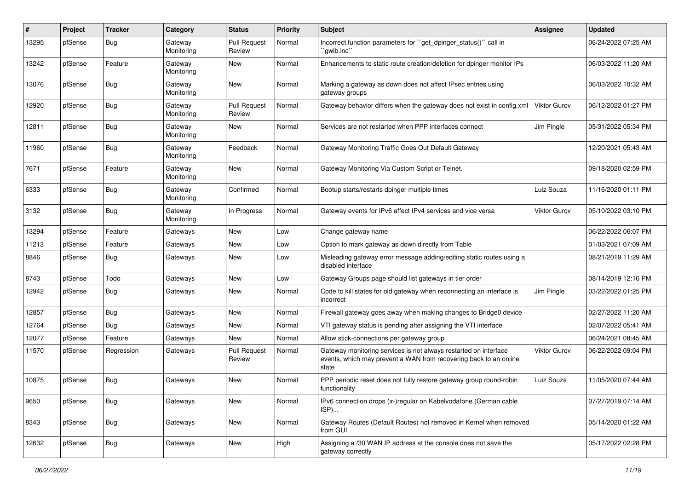| $\#$  | Project | <b>Tracker</b> | Category              | <b>Status</b>                 | <b>Priority</b> | Subject                                                                                                                                        | Assignee            | <b>Updated</b>      |
|-------|---------|----------------|-----------------------|-------------------------------|-----------------|------------------------------------------------------------------------------------------------------------------------------------------------|---------------------|---------------------|
| 13295 | pfSense | Bug            | Gateway<br>Monitoring | <b>Pull Request</b><br>Review | Normal          | Incorrect function parameters for "get dpinger status()" call in<br>`awlb.inc``                                                                |                     | 06/24/2022 07:25 AM |
| 13242 | pfSense | Feature        | Gateway<br>Monitoring | New                           | Normal          | Enhancements to static route creation/deletion for dpinger monitor IPs                                                                         |                     | 06/03/2022 11:20 AM |
| 13076 | pfSense | Bug            | Gateway<br>Monitoring | New                           | Normal          | Marking a gateway as down does not affect IPsec entries using<br>gateway groups                                                                |                     | 06/03/2022 10:32 AM |
| 12920 | pfSense | <b>Bug</b>     | Gateway<br>Monitoring | <b>Pull Request</b><br>Review | Normal          | Gateway behavior differs when the gateway does not exist in config.xml                                                                         | Viktor Gurov        | 06/12/2022 01:27 PM |
| 12811 | pfSense | Bug            | Gateway<br>Monitoring | New                           | Normal          | Services are not restarted when PPP interfaces connect                                                                                         | Jim Pingle          | 05/31/2022 05:34 PM |
| 11960 | pfSense | <b>Bug</b>     | Gateway<br>Monitoring | Feedback                      | Normal          | Gateway Monitoring Traffic Goes Out Default Gateway                                                                                            |                     | 12/20/2021 05:43 AM |
| 7671  | pfSense | Feature        | Gateway<br>Monitoring | New                           | Normal          | Gateway Monitoring Via Custom Script or Telnet.                                                                                                |                     | 09/18/2020 02:59 PM |
| 6333  | pfSense | Bug            | Gateway<br>Monitoring | Confirmed                     | Normal          | Bootup starts/restarts dpinger multiple times                                                                                                  | Luiz Souza          | 11/16/2020 01:11 PM |
| 3132  | pfSense | Bug            | Gateway<br>Monitoring | In Progress                   | Normal          | Gateway events for IPv6 affect IPv4 services and vice versa                                                                                    | Viktor Gurov        | 05/10/2022 03:10 PM |
| 13294 | pfSense | Feature        | Gateways              | New                           | Low             | Change gateway name                                                                                                                            |                     | 06/22/2022 06:07 PM |
| 11213 | pfSense | Feature        | Gateways              | New                           | Low             | Option to mark gateway as down directly from Table                                                                                             |                     | 01/03/2021 07:09 AM |
| 8846  | pfSense | Bug            | Gateways              | New                           | Low             | Misleading gateway error message adding/editing static routes using a<br>disabled interface                                                    |                     | 08/21/2019 11:29 AM |
| 8743  | pfSense | Todo           | Gateways              | New                           | Low             | Gateway Groups page should list gateways in tier order                                                                                         |                     | 08/14/2019 12:16 PM |
| 12942 | pfSense | <b>Bug</b>     | Gateways              | New                           | Normal          | Code to kill states for old gateway when reconnecting an interface is<br>incorrect                                                             | Jim Pingle          | 03/22/2022 01:25 PM |
| 12857 | pfSense | Bug            | Gateways              | New                           | Normal          | Firewall gateway goes away when making changes to Bridge0 device                                                                               |                     | 02/27/2022 11:20 AM |
| 12764 | pfSense | Bug            | Gateways              | New                           | Normal          | VTI gateway status is pending after assigning the VTI interface                                                                                |                     | 02/07/2022 05:41 AM |
| 12077 | pfSense | Feature        | Gateways              | New                           | Normal          | Allow stick-connections per gateway group                                                                                                      |                     | 06/24/2021 08:45 AM |
| 11570 | pfSense | Regression     | Gateways              | <b>Pull Request</b><br>Review | Normal          | Gateway monitoring services is not always restarted on interface<br>events, which may prevent a WAN from recovering back to an online<br>state | <b>Viktor Gurov</b> | 06/22/2022 09:04 PM |
| 10875 | pfSense | Bug            | Gateways              | New                           | Normal          | PPP periodic reset does not fully restore gateway group round-robin<br>functionality                                                           | Luiz Souza          | 11/05/2020 07:44 AM |
| 9650  | pfSense | Bug            | Gateways              | New                           | Normal          | IPv6 connection drops (ir-)regular on Kabelvodafone (German cable<br>ISP)                                                                      |                     | 07/27/2019 07:14 AM |
| 8343  | pfSense | <b>Bug</b>     | Gateways              | New                           | Normal          | Gateway Routes (Default Routes) not removed in Kernel when removed<br>from GUI                                                                 |                     | 05/14/2020 01:22 AM |
| 12632 | pfSense | Bug            | Gateways              | New                           | High            | Assigning a /30 WAN IP address at the console does not save the<br>gateway correctly                                                           |                     | 05/17/2022 02:28 PM |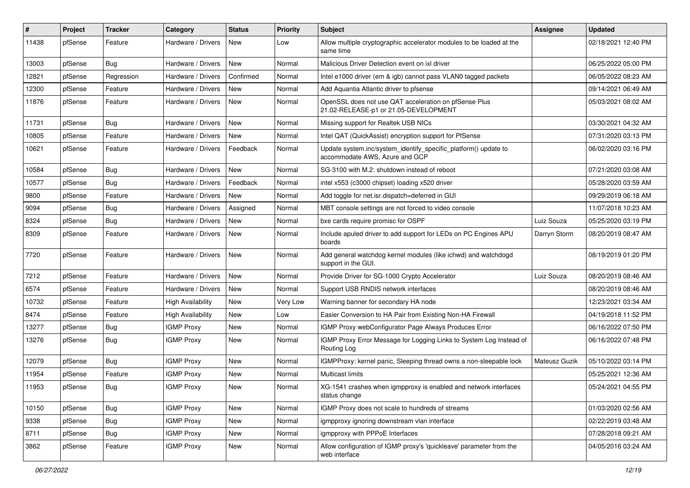| $\#$  | Project | <b>Tracker</b> | Category                 | <b>Status</b> | <b>Priority</b> | <b>Subject</b>                                                                                    | <b>Assignee</b> | <b>Updated</b>      |
|-------|---------|----------------|--------------------------|---------------|-----------------|---------------------------------------------------------------------------------------------------|-----------------|---------------------|
| 11438 | pfSense | Feature        | Hardware / Drivers       | New           | Low             | Allow multiple cryptographic accelerator modules to be loaded at the<br>same time                 |                 | 02/18/2021 12:40 PM |
| 13003 | pfSense | Bug            | Hardware / Drivers       | <b>New</b>    | Normal          | Malicious Driver Detection event on ixl driver                                                    |                 | 06/25/2022 05:00 PM |
| 12821 | pfSense | Regression     | Hardware / Drivers       | Confirmed     | Normal          | Intel e1000 driver (em & igb) cannot pass VLAN0 tagged packets                                    |                 | 06/05/2022 08:23 AM |
| 12300 | pfSense | Feature        | Hardware / Drivers       | <b>New</b>    | Normal          | Add Aquantia Atlantic driver to pfsense                                                           |                 | 09/14/2021 06:49 AM |
| 11876 | pfSense | Feature        | Hardware / Drivers       | New           | Normal          | OpenSSL does not use QAT acceleration on pfSense Plus<br>21.02-RELEASE-p1 or 21.05-DEVELOPMENT    |                 | 05/03/2021 08:02 AM |
| 11731 | pfSense | Bug            | Hardware / Drivers       | <b>New</b>    | Normal          | Missing support for Realtek USB NICs                                                              |                 | 03/30/2021 04:32 AM |
| 10805 | pfSense | Feature        | Hardware / Drivers       | New           | Normal          | Intel QAT (QuickAssist) encryption support for PfSense                                            |                 | 07/31/2020 03:13 PM |
| 10621 | pfSense | Feature        | Hardware / Drivers       | Feedback      | Normal          | Update system.inc/system_identify_specific_platform() update to<br>accommodate AWS, Azure and GCP |                 | 06/02/2020 03:16 PM |
| 10584 | pfSense | <b>Bug</b>     | Hardware / Drivers       | <b>New</b>    | Normal          | SG-3100 with M.2: shutdown instead of reboot                                                      |                 | 07/21/2020 03:08 AM |
| 10577 | pfSense | Bug            | Hardware / Drivers       | Feedback      | Normal          | intel x553 (c3000 chipset) loading x520 driver                                                    |                 | 05/28/2020 03:59 AM |
| 9800  | pfSense | Feature        | Hardware / Drivers       | <b>New</b>    | Normal          | Add toggle for net.isr.dispatch=deferred in GUI                                                   |                 | 09/29/2019 06:18 AM |
| 9094  | pfSense | Bug            | Hardware / Drivers       | Assigned      | Normal          | MBT console settings are not forced to video console                                              |                 | 11/07/2018 10:23 AM |
| 8324  | pfSense | Bug            | Hardware / Drivers       | <b>New</b>    | Normal          | bxe cards require promisc for OSPF                                                                | Luiz Souza      | 05/25/2020 03:19 PM |
| 8309  | pfSense | Feature        | Hardware / Drivers       | New           | Normal          | Include apuled driver to add support for LEDs on PC Engines APU<br>boards                         | Darryn Storm    | 08/20/2019 08:47 AM |
| 7720  | pfSense | Feature        | Hardware / Drivers       | New           | Normal          | Add general watchdog kernel modules (like ichwd) and watchdogd<br>support in the GUI.             |                 | 08/19/2019 01:20 PM |
| 7212  | pfSense | Feature        | Hardware / Drivers       | <b>New</b>    | Normal          | Provide Driver for SG-1000 Crypto Accelerator                                                     | Luiz Souza      | 08/20/2019 08:46 AM |
| 6574  | pfSense | Feature        | Hardware / Drivers       | New           | Normal          | Support USB RNDIS network interfaces                                                              |                 | 08/20/2019 08:46 AM |
| 10732 | pfSense | Feature        | <b>High Availability</b> | <b>New</b>    | Very Low        | Warning banner for secondary HA node                                                              |                 | 12/23/2021 03:34 AM |
| 8474  | pfSense | Feature        | <b>High Availability</b> | <b>New</b>    | Low             | Easier Conversion to HA Pair from Existing Non-HA Firewall                                        |                 | 04/19/2018 11:52 PM |
| 13277 | pfSense | Bug            | <b>IGMP Proxy</b>        | <b>New</b>    | Normal          | IGMP Proxy webConfigurator Page Always Produces Error                                             |                 | 06/16/2022 07:50 PM |
| 13276 | pfSense | Bug            | <b>IGMP Proxy</b>        | <b>New</b>    | Normal          | IGMP Proxy Error Message for Logging Links to System Log Instead of<br>Routing Log                |                 | 06/16/2022 07:48 PM |
| 12079 | pfSense | Bug            | <b>IGMP Proxy</b>        | <b>New</b>    | Normal          | IGMPProxy: kernel panic, Sleeping thread owns a non-sleepable lock                                | Mateusz Guzik   | 05/10/2022 03:14 PM |
| 11954 | pfSense | Feature        | <b>IGMP Proxy</b>        | <b>New</b>    | Normal          | Multicast limits                                                                                  |                 | 05/25/2021 12:36 AM |
| 11953 | pfSense | Bug            | <b>IGMP Proxy</b>        | <b>New</b>    | Normal          | XG-1541 crashes when igmpproxy is enabled and network interfaces<br>status change                 |                 | 05/24/2021 04:55 PM |
| 10150 | pfSense | <b>Bug</b>     | <b>IGMP Proxy</b>        | New           | Normal          | IGMP Proxy does not scale to hundreds of streams                                                  |                 | 01/03/2020 02:56 AM |
| 9338  | pfSense | <b>Bug</b>     | <b>IGMP Proxy</b>        | New           | Normal          | igmpproxy ignoring downstream vlan interface                                                      |                 | 02/22/2019 03:48 AM |
| 8711  | pfSense | <b>Bug</b>     | <b>IGMP Proxy</b>        | New           | Normal          | igmpproxy with PPPoE Interfaces                                                                   |                 | 07/28/2018 09:21 AM |
| 3862  | pfSense | Feature        | <b>IGMP Proxy</b>        | New           | Normal          | Allow configuration of IGMP proxy's 'quickleave' parameter from the<br>web interface              |                 | 04/05/2016 03:24 AM |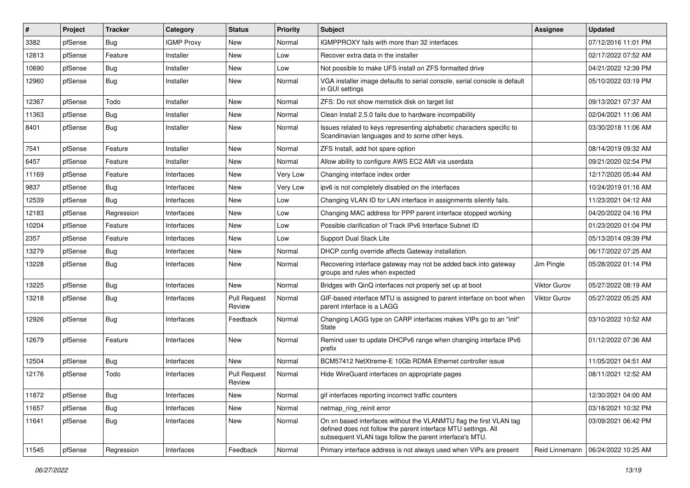| #     | Project | <b>Tracker</b> | Category          | <b>Status</b>                 | <b>Priority</b> | Subject                                                                                                                                                                                         | <b>Assignee</b>     | <b>Updated</b>      |
|-------|---------|----------------|-------------------|-------------------------------|-----------------|-------------------------------------------------------------------------------------------------------------------------------------------------------------------------------------------------|---------------------|---------------------|
| 3382  | pfSense | Bug            | <b>IGMP Proxy</b> | New                           | Normal          | IGMPPROXY fails with more than 32 interfaces                                                                                                                                                    |                     | 07/12/2016 11:01 PM |
| 12813 | pfSense | Feature        | Installer         | New                           | Low             | Recover extra data in the installer                                                                                                                                                             |                     | 02/17/2022 07:52 AM |
| 10690 | pfSense | Bug            | Installer         | New                           | Low             | Not possible to make UFS install on ZFS formatted drive                                                                                                                                         |                     | 04/21/2022 12:39 PM |
| 12960 | pfSense | Bug            | Installer         | <b>New</b>                    | Normal          | VGA installer image defaults to serial console, serial console is default<br>in GUI settings                                                                                                    |                     | 05/10/2022 03:19 PM |
| 12367 | pfSense | Todo           | Installer         | New                           | Normal          | ZFS: Do not show memstick disk on target list                                                                                                                                                   |                     | 09/13/2021 07:37 AM |
| 11363 | pfSense | <b>Bug</b>     | Installer         | New                           | Normal          | Clean Install 2.5.0 fails due to hardware incompability                                                                                                                                         |                     | 02/04/2021 11:06 AM |
| 8401  | pfSense | <b>Bug</b>     | Installer         | New                           | Normal          | Issues related to keys representing alphabetic characters specific to<br>Scandinavian languages and to some other keys.                                                                         |                     | 03/30/2018 11:06 AM |
| 7541  | pfSense | Feature        | Installer         | <b>New</b>                    | Normal          | ZFS Install, add hot spare option                                                                                                                                                               |                     | 08/14/2019 09:32 AM |
| 6457  | pfSense | Feature        | Installer         | New                           | Normal          | Allow ability to configure AWS EC2 AMI via userdata                                                                                                                                             |                     | 09/21/2020 02:54 PM |
| 11169 | pfSense | Feature        | Interfaces        | <b>New</b>                    | Very Low        | Changing interface index order                                                                                                                                                                  |                     | 12/17/2020 05:44 AM |
| 9837  | pfSense | Bug            | Interfaces        | New                           | Very Low        | ipv6 is not completely disabled on the interfaces                                                                                                                                               |                     | 10/24/2019 01:16 AM |
| 12539 | pfSense | <b>Bug</b>     | Interfaces        | New                           | Low             | Changing VLAN ID for LAN interface in assignments silently fails.                                                                                                                               |                     | 11/23/2021 04:12 AM |
| 12183 | pfSense | Regression     | Interfaces        | New                           | Low             | Changing MAC address for PPP parent interface stopped working                                                                                                                                   |                     | 04/20/2022 04:16 PM |
| 10204 | pfSense | Feature        | Interfaces        | New                           | Low             | Possible clarification of Track IPv6 Interface Subnet ID                                                                                                                                        |                     | 01/23/2020 01:04 PM |
| 2357  | pfSense | Feature        | Interfaces        | New                           | Low             | <b>Support Dual Stack Lite</b>                                                                                                                                                                  |                     | 05/13/2014 09:39 PM |
| 13279 | pfSense | Bug            | Interfaces        | New                           | Normal          | DHCP config override affects Gateway installation.                                                                                                                                              |                     | 06/17/2022 07:25 AM |
| 13228 | pfSense | <b>Bug</b>     | Interfaces        | New                           | Normal          | Recovering interface gateway may not be added back into gateway<br>groups and rules when expected                                                                                               | Jim Pingle          | 05/28/2022 01:14 PM |
| 13225 | pfSense | Bug            | Interfaces        | <b>New</b>                    | Normal          | Bridges with QinQ interfaces not properly set up at boot                                                                                                                                        | <b>Viktor Gurov</b> | 05/27/2022 08:19 AM |
| 13218 | pfSense | <b>Bug</b>     | Interfaces        | <b>Pull Request</b><br>Review | Normal          | GIF-based interface MTU is assigned to parent interface on boot when<br>parent interface is a LAGG                                                                                              | Viktor Gurov        | 05/27/2022 05:25 AM |
| 12926 | pfSense | <b>Bug</b>     | Interfaces        | Feedback                      | Normal          | Changing LAGG type on CARP interfaces makes VIPs go to an "init"<br><b>State</b>                                                                                                                |                     | 03/10/2022 10:52 AM |
| 12679 | pfSense | Feature        | Interfaces        | <b>New</b>                    | Normal          | Remind user to update DHCPv6 range when changing interface IPv6<br>prefix                                                                                                                       |                     | 01/12/2022 07:36 AM |
| 12504 | pfSense | Bug            | Interfaces        | <b>New</b>                    | Normal          | BCM57412 NetXtreme-E 10Gb RDMA Ethernet controller issue                                                                                                                                        |                     | 11/05/2021 04:51 AM |
| 12176 | pfSense | Todo           | Interfaces        | <b>Pull Request</b><br>Review | Normal          | Hide WireGuard interfaces on appropriate pages                                                                                                                                                  |                     | 08/11/2021 12:52 AM |
| 11872 | pfSense | <b>Bug</b>     | Interfaces        | New                           | Normal          | gif interfaces reporting incorrect traffic counters                                                                                                                                             |                     | 12/30/2021 04:00 AM |
| 11657 | pfSense | <b>Bug</b>     | Interfaces        | New                           | Normal          | netmap ring reinit error                                                                                                                                                                        |                     | 03/18/2021 10:32 PM |
| 11641 | pfSense | <b>Bug</b>     | Interfaces        | New                           | Normal          | On xn based interfaces without the VLANMTU flag the first VLAN tag<br>defined does not follow the parent interface MTU settings. All<br>subsequent VLAN tags follow the parent interface's MTU. |                     | 03/09/2021 06:42 PM |
| 11545 | pfSense | Regression     | Interfaces        | Feedback                      | Normal          | Primary interface address is not always used when VIPs are present                                                                                                                              | Reid Linnemann      | 06/24/2022 10:25 AM |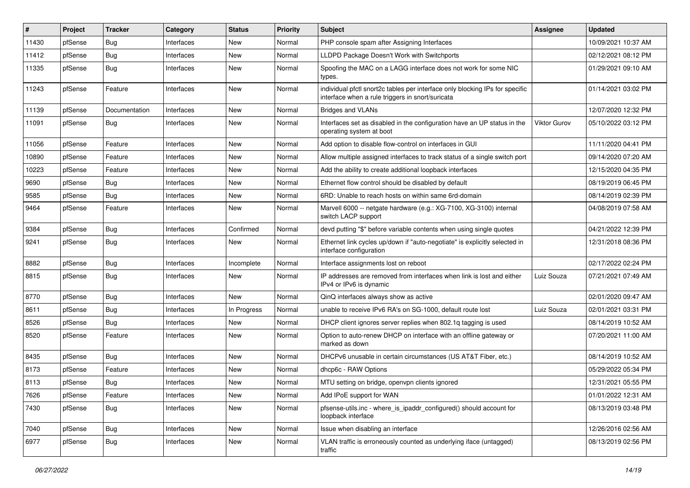| $\#$  | Project | <b>Tracker</b> | Category   | <b>Status</b> | <b>Priority</b> | <b>Subject</b>                                                                                                                   | <b>Assignee</b> | <b>Updated</b>      |
|-------|---------|----------------|------------|---------------|-----------------|----------------------------------------------------------------------------------------------------------------------------------|-----------------|---------------------|
| 11430 | pfSense | Bug            | Interfaces | New           | Normal          | PHP console spam after Assigning Interfaces                                                                                      |                 | 10/09/2021 10:37 AM |
| 11412 | pfSense | Bug            | Interfaces | <b>New</b>    | Normal          | LLDPD Package Doesn't Work with Switchports                                                                                      |                 | 02/12/2021 08:12 PM |
| 11335 | pfSense | Bug            | Interfaces | New           | Normal          | Spoofing the MAC on a LAGG interface does not work for some NIC<br>types.                                                        |                 | 01/29/2021 09:10 AM |
| 11243 | pfSense | Feature        | Interfaces | <b>New</b>    | Normal          | individual pfctl snort2c tables per interface only blocking IPs for specific<br>interface when a rule triggers in snort/suricata |                 | 01/14/2021 03:02 PM |
| 11139 | pfSense | Documentation  | Interfaces | <b>New</b>    | Normal          | <b>Bridges and VLANs</b>                                                                                                         |                 | 12/07/2020 12:32 PM |
| 11091 | pfSense | Bug            | Interfaces | <b>New</b>    | Normal          | Interfaces set as disabled in the configuration have an UP status in the<br>operating system at boot                             | Viktor Gurov    | 05/10/2022 03:12 PM |
| 11056 | pfSense | Feature        | Interfaces | <b>New</b>    | Normal          | Add option to disable flow-control on interfaces in GUI                                                                          |                 | 11/11/2020 04:41 PM |
| 10890 | pfSense | Feature        | Interfaces | New           | Normal          | Allow multiple assigned interfaces to track status of a single switch port                                                       |                 | 09/14/2020 07:20 AM |
| 10223 | pfSense | Feature        | Interfaces | New           | Normal          | Add the ability to create additional loopback interfaces                                                                         |                 | 12/15/2020 04:35 PM |
| 9690  | pfSense | Bug            | Interfaces | <b>New</b>    | Normal          | Ethernet flow control should be disabled by default                                                                              |                 | 08/19/2019 06:45 PM |
| 9585  | pfSense | Bug            | Interfaces | <b>New</b>    | Normal          | 6RD: Unable to reach hosts on within same 6rd-domain                                                                             |                 | 08/14/2019 02:39 PM |
| 9464  | pfSense | Feature        | Interfaces | New           | Normal          | Marvell 6000 -- netgate hardware (e.g.: XG-7100, XG-3100) internal<br>switch LACP support                                        |                 | 04/08/2019 07:58 AM |
| 9384  | pfSense | Bug            | Interfaces | Confirmed     | Normal          | devd putting "\$" before variable contents when using single quotes                                                              |                 | 04/21/2022 12:39 PM |
| 9241  | pfSense | Bug            | Interfaces | <b>New</b>    | Normal          | Ethernet link cycles up/down if "auto-negotiate" is explicitly selected in<br>interface configuration                            |                 | 12/31/2018 08:36 PM |
| 8882  | pfSense | Bug            | Interfaces | Incomplete    | Normal          | Interface assignments lost on reboot                                                                                             |                 | 02/17/2022 02:24 PM |
| 8815  | pfSense | Bug            | Interfaces | <b>New</b>    | Normal          | IP addresses are removed from interfaces when link is lost and either<br>IPv4 or IPv6 is dynamic                                 | Luiz Souza      | 07/21/2021 07:49 AM |
| 8770  | pfSense | Bug            | Interfaces | <b>New</b>    | Normal          | QinQ interfaces always show as active                                                                                            |                 | 02/01/2020 09:47 AM |
| 8611  | pfSense | Bug            | Interfaces | In Progress   | Normal          | unable to receive IPv6 RA's on SG-1000, default route lost                                                                       | Luiz Souza      | 02/01/2021 03:31 PM |
| 8526  | pfSense | Bug            | Interfaces | New           | Normal          | DHCP client ignores server replies when 802.1q tagging is used                                                                   |                 | 08/14/2019 10:52 AM |
| 8520  | pfSense | Feature        | Interfaces | <b>New</b>    | Normal          | Option to auto-renew DHCP on interface with an offline gateway or<br>marked as down                                              |                 | 07/20/2021 11:00 AM |
| 8435  | pfSense | Bug            | Interfaces | <b>New</b>    | Normal          | DHCPv6 unusable in certain circumstances (US AT&T Fiber, etc.)                                                                   |                 | 08/14/2019 10:52 AM |
| 8173  | pfSense | Feature        | Interfaces | <b>New</b>    | Normal          | dhcp6c - RAW Options                                                                                                             |                 | 05/29/2022 05:34 PM |
| 8113  | pfSense | Bug            | Interfaces | <b>New</b>    | Normal          | MTU setting on bridge, openypn clients ignored                                                                                   |                 | 12/31/2021 05:55 PM |
| 7626  | pfSense | Feature        | Interfaces | New           | Normal          | Add IPoE support for WAN                                                                                                         |                 | 01/01/2022 12:31 AM |
| 7430  | pfSense | Bug            | Interfaces | New           | Normal          | pfsense-utils.inc - where_is_ipaddr_configured() should account for<br>loopback interface                                        |                 | 08/13/2019 03:48 PM |
| 7040  | pfSense | Bug            | Interfaces | New           | Normal          | Issue when disabling an interface                                                                                                |                 | 12/26/2016 02:56 AM |
| 6977  | pfSense | <b>Bug</b>     | Interfaces | New           | Normal          | VLAN traffic is erroneously counted as underlying iface (untagged)<br>traffic                                                    |                 | 08/13/2019 02:56 PM |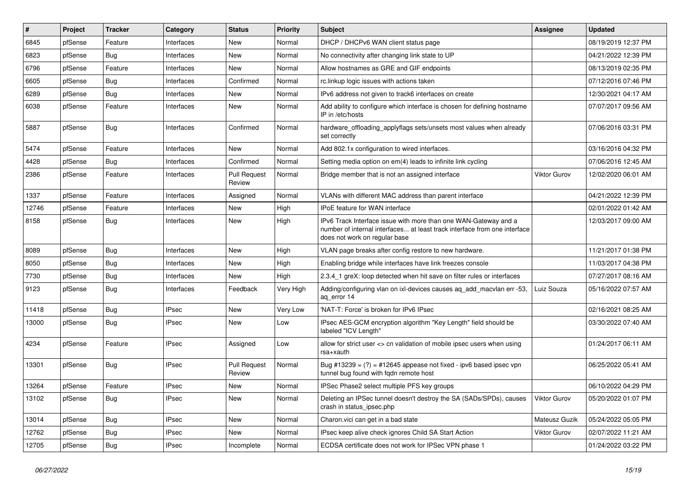| $\#$  | Project | <b>Tracker</b> | Category     | <b>Status</b>                 | <b>Priority</b> | Subject                                                                                                                                                                       | <b>Assignee</b> | <b>Updated</b>      |
|-------|---------|----------------|--------------|-------------------------------|-----------------|-------------------------------------------------------------------------------------------------------------------------------------------------------------------------------|-----------------|---------------------|
| 6845  | pfSense | Feature        | Interfaces   | New                           | Normal          | DHCP / DHCPv6 WAN client status page                                                                                                                                          |                 | 08/19/2019 12:37 PM |
| 6823  | pfSense | Bug            | Interfaces   | <b>New</b>                    | Normal          | No connectivity after changing link state to UP                                                                                                                               |                 | 04/21/2022 12:39 PM |
| 6796  | pfSense | Feature        | Interfaces   | New                           | Normal          | Allow hostnames as GRE and GIF endpoints                                                                                                                                      |                 | 08/13/2019 02:35 PM |
| 6605  | pfSense | Bug            | Interfaces   | Confirmed                     | Normal          | rc.linkup logic issues with actions taken                                                                                                                                     |                 | 07/12/2016 07:46 PM |
| 6289  | pfSense | <b>Bug</b>     | Interfaces   | <b>New</b>                    | Normal          | IPv6 address not given to track6 interfaces on create                                                                                                                         |                 | 12/30/2021 04:17 AM |
| 6038  | pfSense | Feature        | Interfaces   | New                           | Normal          | Add ability to configure which interface is chosen for defining hostname<br>IP in /etc/hosts                                                                                  |                 | 07/07/2017 09:56 AM |
| 5887  | pfSense | <b>Bug</b>     | Interfaces   | Confirmed                     | Normal          | hardware_offloading_applyflags sets/unsets most values when already<br>set correctly                                                                                          |                 | 07/06/2016 03:31 PM |
| 5474  | pfSense | Feature        | Interfaces   | New                           | Normal          | Add 802.1x configuration to wired interfaces.                                                                                                                                 |                 | 03/16/2016 04:32 PM |
| 4428  | pfSense | Bug            | Interfaces   | Confirmed                     | Normal          | Setting media option on em(4) leads to infinite link cycling                                                                                                                  |                 | 07/06/2016 12:45 AM |
| 2386  | pfSense | Feature        | Interfaces   | <b>Pull Request</b><br>Review | Normal          | Bridge member that is not an assigned interface                                                                                                                               | Viktor Gurov    | 12/02/2020 06:01 AM |
| 1337  | pfSense | Feature        | Interfaces   | Assigned                      | Normal          | VLANs with different MAC address than parent interface                                                                                                                        |                 | 04/21/2022 12:39 PM |
| 12746 | pfSense | Feature        | Interfaces   | New                           | High            | <b>IPoE</b> feature for WAN interface                                                                                                                                         |                 | 02/01/2022 01:42 AM |
| 8158  | pfSense | Bug            | Interfaces   | New                           | High            | IPv6 Track Interface issue with more than one WAN-Gateway and a<br>number of internal interfaces at least track interface from one interface<br>does not work on regular base |                 | 12/03/2017 09:00 AM |
| 8089  | pfSense | Bug            | Interfaces   | New                           | High            | VLAN page breaks after config restore to new hardware.                                                                                                                        |                 | 11/21/2017 01:38 PM |
| 8050  | pfSense | Bug            | Interfaces   | <b>New</b>                    | High            | Enabling bridge while interfaces have link freezes console                                                                                                                    |                 | 11/03/2017 04:38 PM |
| 7730  | pfSense | Bug            | Interfaces   | New                           | High            | 2.3.4_1 greX: loop detected when hit save on filter rules or interfaces                                                                                                       |                 | 07/27/2017 08:16 AM |
| 9123  | pfSense | Bug            | Interfaces   | Feedback                      | Very High       | Adding/configuring vlan on ixl-devices causes aq_add_macvlan err -53,<br>aq_error 14                                                                                          | Luiz Souza      | 05/16/2022 07:57 AM |
| 11418 | pfSense | <b>Bug</b>     | <b>IPsec</b> | <b>New</b>                    | Very Low        | 'NAT-T: Force' is broken for IPv6 IPsec                                                                                                                                       |                 | 02/16/2021 08:25 AM |
| 13000 | pfSense | Bug            | <b>IPsec</b> | New                           | Low             | IPsec AES-GCM encryption algorithm "Key Length" field should be<br>labeled "ICV Length"                                                                                       |                 | 03/30/2022 07:40 AM |
| 4234  | pfSense | Feature        | <b>IPsec</b> | Assigned                      | Low             | allow for strict user <> cn validation of mobile ipsec users when using<br>rsa+xauth                                                                                          |                 | 01/24/2017 06:11 AM |
| 13301 | pfSense | Bug            | <b>IPsec</b> | <b>Pull Request</b><br>Review | Normal          | Bug #13239 = $(?)$ = #12645 appease not fixed - ipv6 based ipsec vpn<br>tunnel bug found with fqdn remote host                                                                |                 | 06/25/2022 05:41 AM |
| 13264 | pfSense | Feature        | <b>IPsec</b> | <b>New</b>                    | Normal          | IPSec Phase2 select multiple PFS key groups                                                                                                                                   |                 | 06/10/2022 04:29 PM |
| 13102 | pfSense | <b>Bug</b>     | <b>IPsec</b> | New                           | Normal          | Deleting an IPSec tunnel doesn't destroy the SA (SADs/SPDs), causes<br>crash in status_ipsec.php                                                                              | Viktor Gurov    | 05/20/2022 01:07 PM |
| 13014 | pfSense | <b>Bug</b>     | <b>IPsec</b> | New                           | Normal          | Charon.vici can get in a bad state                                                                                                                                            | Mateusz Guzik   | 05/24/2022 05:05 PM |
| 12762 | pfSense | <b>Bug</b>     | <b>IPsec</b> | New                           | Normal          | IPsec keep alive check ignores Child SA Start Action                                                                                                                          | Viktor Gurov    | 02/07/2022 11:21 AM |
| 12705 | pfSense | <b>Bug</b>     | <b>IPsec</b> | Incomplete                    | Normal          | ECDSA certificate does not work for IPSec VPN phase 1                                                                                                                         |                 | 01/24/2022 03:22 PM |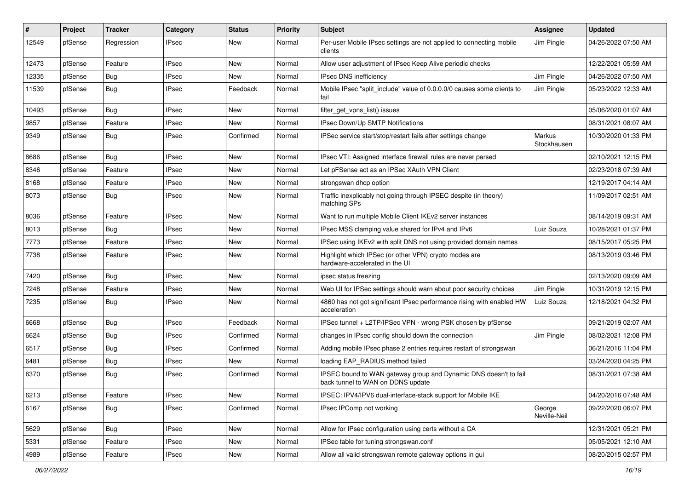| #     | Project | <b>Tracker</b> | Category     | <b>Status</b> | <b>Priority</b> | Subject                                                                                               | Assignee               | <b>Updated</b>      |
|-------|---------|----------------|--------------|---------------|-----------------|-------------------------------------------------------------------------------------------------------|------------------------|---------------------|
| 12549 | pfSense | Regression     | <b>IPsec</b> | New           | Normal          | Per-user Mobile IPsec settings are not applied to connecting mobile<br>clients                        | Jim Pingle             | 04/26/2022 07:50 AM |
| 12473 | pfSense | Feature        | <b>IPsec</b> | New           | Normal          | Allow user adjustment of IPsec Keep Alive periodic checks                                             |                        | 12/22/2021 05:59 AM |
| 12335 | pfSense | <b>Bug</b>     | <b>IPsec</b> | New           | Normal          | <b>IPsec DNS inefficiency</b>                                                                         | Jim Pingle             | 04/26/2022 07:50 AM |
| 11539 | pfSense | <b>Bug</b>     | <b>IPsec</b> | Feedback      | Normal          | Mobile IPsec "split_include" value of 0.0.0.0/0 causes some clients to<br>fail                        | Jim Pingle             | 05/23/2022 12:33 AM |
| 10493 | pfSense | <b>Bug</b>     | <b>IPsec</b> | New           | Normal          | filter get vpns list() issues                                                                         |                        | 05/06/2020 01:07 AM |
| 9857  | pfSense | Feature        | <b>IPsec</b> | New           | Normal          | IPsec Down/Up SMTP Notifications                                                                      |                        | 08/31/2021 08:07 AM |
| 9349  | pfSense | Bug            | <b>IPsec</b> | Confirmed     | Normal          | IPSec service start/stop/restart fails after settings change                                          | Markus<br>Stockhausen  | 10/30/2020 01:33 PM |
| 8686  | pfSense | Bug            | <b>IPsec</b> | New           | Normal          | IPsec VTI: Assigned interface firewall rules are never parsed                                         |                        | 02/10/2021 12:15 PM |
| 8346  | pfSense | Feature        | <b>IPsec</b> | New           | Normal          | Let pFSense act as an IPSec XAuth VPN Client                                                          |                        | 02/23/2018 07:39 AM |
| 8168  | pfSense | Feature        | <b>IPsec</b> | New           | Normal          | strongswan dhcp option                                                                                |                        | 12/19/2017 04:14 AM |
| 8073  | pfSense | Bug            | <b>IPsec</b> | New           | Normal          | Traffic inexplicably not going through IPSEC despite (in theory)<br>matching SPs                      |                        | 11/09/2017 02:51 AM |
| 8036  | pfSense | Feature        | <b>IPsec</b> | New           | Normal          | Want to run multiple Mobile Client IKEv2 server instances                                             |                        | 08/14/2019 09:31 AM |
| 8013  | pfSense | Bug            | <b>IPsec</b> | New           | Normal          | IPsec MSS clamping value shared for IPv4 and IPv6                                                     | Luiz Souza             | 10/28/2021 01:37 PM |
| 7773  | pfSense | Feature        | <b>IPsec</b> | New           | Normal          | IPSec using IKEv2 with split DNS not using provided domain names                                      |                        | 08/15/2017 05:25 PM |
| 7738  | pfSense | Feature        | <b>IPsec</b> | New           | Normal          | Highlight which IPSec (or other VPN) crypto modes are<br>hardware-accelerated in the UI               |                        | 08/13/2019 03:46 PM |
| 7420  | pfSense | Bug            | <b>IPsec</b> | <b>New</b>    | Normal          | ipsec status freezing                                                                                 |                        | 02/13/2020 09:09 AM |
| 7248  | pfSense | Feature        | <b>IPsec</b> | New           | Normal          | Web UI for IPSec settings should warn about poor security choices                                     | Jim Pingle             | 10/31/2019 12:15 PM |
| 7235  | pfSense | Bug            | <b>IPsec</b> | New           | Normal          | 4860 has not got significant IPsec performance rising with enabled HW<br>acceleration                 | Luiz Souza             | 12/18/2021 04:32 PM |
| 6668  | pfSense | <b>Bug</b>     | <b>IPsec</b> | Feedback      | Normal          | IPSec tunnel + L2TP/IPSec VPN - wrong PSK chosen by pfSense                                           |                        | 09/21/2019 02:07 AM |
| 6624  | pfSense | Bug            | <b>IPsec</b> | Confirmed     | Normal          | changes in IPsec config should down the connection                                                    | Jim Pingle             | 08/02/2021 12:08 PM |
| 6517  | pfSense | Bug            | <b>IPsec</b> | Confirmed     | Normal          | Adding mobile IPsec phase 2 entries requires restart of strongswan                                    |                        | 06/21/2016 11:04 PM |
| 6481  | pfSense | Bug            | <b>IPsec</b> | New           | Normal          | loading EAP RADIUS method failed                                                                      |                        | 03/24/2020 04:25 PM |
| 6370  | pfSense | Bug            | <b>IPsec</b> | Confirmed     | Normal          | IPSEC bound to WAN gateway group and Dynamic DNS doesn't to fail<br>back tunnel to WAN on DDNS update |                        | 08/31/2021 07:38 AM |
| 6213  | pfSense | Feature        | <b>IPsec</b> | New           | Normal          | IPSEC: IPV4/IPV6 dual-interface-stack support for Mobile IKE                                          |                        | 04/20/2016 07:48 AM |
| 6167  | pfSense | <b>Bug</b>     | <b>IPsec</b> | Confirmed     | Normal          | IPsec IPComp not working                                                                              | George<br>Neville-Neil | 09/22/2020 06:07 PM |
| 5629  | pfSense | Bug            | <b>IPsec</b> | New           | Normal          | Allow for IPsec configuration using certs without a CA                                                |                        | 12/31/2021 05:21 PM |
| 5331  | pfSense | Feature        | <b>IPsec</b> | New           | Normal          | IPSec table for tuning strongswan.conf                                                                |                        | 05/05/2021 12:10 AM |
| 4989  | pfSense | Feature        | <b>IPsec</b> | New           | Normal          | Allow all valid strongswan remote gateway options in gui                                              |                        | 08/20/2015 02:57 PM |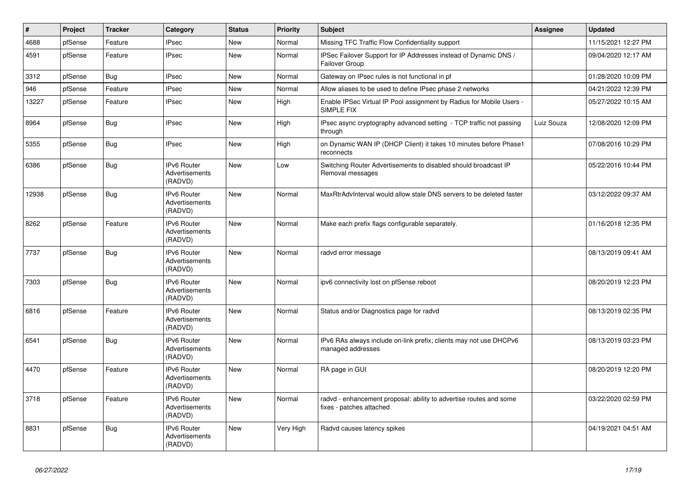| $\vert$ # | Project | <b>Tracker</b> | Category                                        | <b>Status</b> | <b>Priority</b> | <b>Subject</b>                                                                                 | Assignee   | <b>Updated</b>      |
|-----------|---------|----------------|-------------------------------------------------|---------------|-----------------|------------------------------------------------------------------------------------------------|------------|---------------------|
| 4688      | pfSense | Feature        | <b>IPsec</b>                                    | <b>New</b>    | Normal          | Missing TFC Traffic Flow Confidentiality support                                               |            | 11/15/2021 12:27 PM |
| 4591      | pfSense | Feature        | <b>IPsec</b>                                    | <b>New</b>    | Normal          | IPSec Failover Support for IP Addresses instead of Dynamic DNS /<br>Failover Group             |            | 09/04/2020 12:17 AM |
| 3312      | pfSense | Bug            | <b>IPsec</b>                                    | New           | Normal          | Gateway on IPsec rules is not functional in pf                                                 |            | 01/28/2020 10:09 PM |
| 946       | pfSense | Feature        | <b>IPsec</b>                                    | <b>New</b>    | Normal          | Allow aliases to be used to define IPsec phase 2 networks                                      |            | 04/21/2022 12:39 PM |
| 13227     | pfSense | Feature        | <b>IPsec</b>                                    | <b>New</b>    | High            | Enable IPSec Virtual IP Pool assignment by Radius for Mobile Users -<br>SIMPLE FIX             |            | 05/27/2022 10:15 AM |
| 8964      | pfSense | <b>Bug</b>     | <b>IPsec</b>                                    | <b>New</b>    | High            | IPsec async cryptography advanced setting - TCP traffic not passing<br>through                 | Luiz Souza | 12/08/2020 12:09 PM |
| 5355      | pfSense | <b>Bug</b>     | <b>IPsec</b>                                    | New           | High            | on Dynamic WAN IP (DHCP Client) it takes 10 minutes before Phase1<br>reconnects                |            | 07/08/2016 10:29 PM |
| 6386      | pfSense | Bug            | IPv6 Router<br>Advertisements<br>(RADVD)        | <b>New</b>    | Low             | Switching Router Advertisements to disabled should broadcast IP<br>Removal messages            |            | 05/22/2016 10:44 PM |
| 12938     | pfSense | Bug            | IPv6 Router<br>Advertisements<br>(RADVD)        | <b>New</b>    | Normal          | MaxRtrAdvInterval would allow stale DNS servers to be deleted faster                           |            | 03/12/2022 09:37 AM |
| 8262      | pfSense | Feature        | <b>IPv6 Router</b><br>Advertisements<br>(RADVD) | <b>New</b>    | Normal          | Make each prefix flags configurable separately.                                                |            | 01/16/2018 12:35 PM |
| 7737      | pfSense | Bug            | IPv6 Router<br>Advertisements<br>(RADVD)        | New           | Normal          | radvd error message                                                                            |            | 08/13/2019 09:41 AM |
| 7303      | pfSense | <b>Bug</b>     | <b>IPv6 Router</b><br>Advertisements<br>(RADVD) | <b>New</b>    | Normal          | ipv6 connectivity lost on pfSense reboot                                                       |            | 08/20/2019 12:23 PM |
| 6816      | pfSense | Feature        | IPv6 Router<br>Advertisements<br>(RADVD)        | New           | Normal          | Status and/or Diagnostics page for radvd                                                       |            | 08/13/2019 02:35 PM |
| 6541      | pfSense | Bug            | <b>IPv6 Router</b><br>Advertisements<br>(RADVD) | <b>New</b>    | Normal          | IPv6 RAs always include on-link prefix; clients may not use DHCPv6<br>managed addresses        |            | 08/13/2019 03:23 PM |
| 4470      | pfSense | Feature        | <b>IPv6 Router</b><br>Advertisements<br>(RADVD) | <b>New</b>    | Normal          | RA page in GUI                                                                                 |            | 08/20/2019 12:20 PM |
| 3718      | pfSense | Feature        | <b>IPv6 Router</b><br>Advertisements<br>(RADVD) | <b>New</b>    | Normal          | radvd - enhancement proposal: ability to advertise routes and some<br>fixes - patches attached |            | 03/22/2020 02:59 PM |
| 8831      | pfSense | Bug            | <b>IPv6 Router</b><br>Advertisements<br>(RADVD) | <b>New</b>    | Very High       | Radvd causes latency spikes                                                                    |            | 04/19/2021 04:51 AM |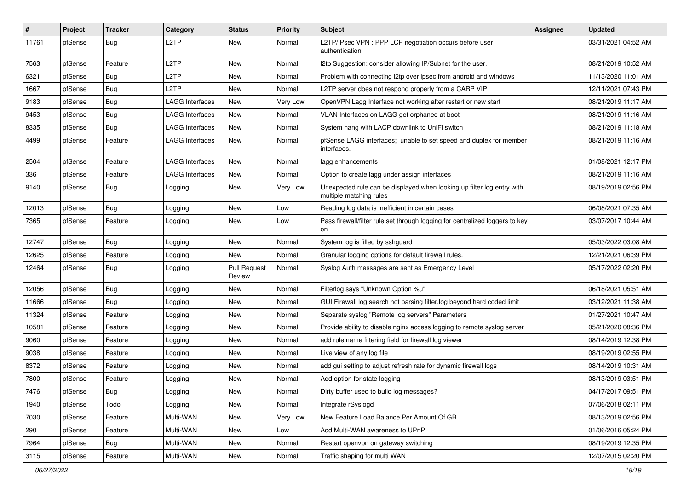| #     | Project | <b>Tracker</b> | Category               | <b>Status</b>                 | <b>Priority</b> | Subject                                                                                           | Assignee | <b>Updated</b>      |
|-------|---------|----------------|------------------------|-------------------------------|-----------------|---------------------------------------------------------------------------------------------------|----------|---------------------|
| 11761 | pfSense | Bug            | L <sub>2</sub> TP      | New                           | Normal          | L2TP/IPsec VPN : PPP LCP negotiation occurs before user<br>authentication                         |          | 03/31/2021 04:52 AM |
| 7563  | pfSense | Feature        | L <sub>2</sub> TP      | New                           | Normal          | I2tp Suggestion: consider allowing IP/Subnet for the user.                                        |          | 08/21/2019 10:52 AM |
| 6321  | pfSense | Bug            | L2TP                   | New                           | Normal          | Problem with connecting I2tp over ipsec from android and windows                                  |          | 11/13/2020 11:01 AM |
| 1667  | pfSense | Bug            | L <sub>2</sub> TP      | New                           | Normal          | L2TP server does not respond properly from a CARP VIP                                             |          | 12/11/2021 07:43 PM |
| 9183  | pfSense | Bug            | <b>LAGG Interfaces</b> | New                           | Very Low        | OpenVPN Lagg Interface not working after restart or new start                                     |          | 08/21/2019 11:17 AM |
| 9453  | pfSense | <b>Bug</b>     | <b>LAGG Interfaces</b> | New                           | Normal          | VLAN Interfaces on LAGG get orphaned at boot                                                      |          | 08/21/2019 11:16 AM |
| 8335  | pfSense | Bug            | <b>LAGG Interfaces</b> | New                           | Normal          | System hang with LACP downlink to UniFi switch                                                    |          | 08/21/2019 11:18 AM |
| 4499  | pfSense | Feature        | LAGG Interfaces        | New                           | Normal          | pfSense LAGG interfaces; unable to set speed and duplex for member<br>interfaces.                 |          | 08/21/2019 11:16 AM |
| 2504  | pfSense | Feature        | <b>LAGG Interfaces</b> | New                           | Normal          | lagg enhancements                                                                                 |          | 01/08/2021 12:17 PM |
| 336   | pfSense | Feature        | <b>LAGG Interfaces</b> | New                           | Normal          | Option to create lagg under assign interfaces                                                     |          | 08/21/2019 11:16 AM |
| 9140  | pfSense | Bug            | Logging                | New                           | Very Low        | Unexpected rule can be displayed when looking up filter log entry with<br>multiple matching rules |          | 08/19/2019 02:56 PM |
| 12013 | pfSense | Bug            | Logging                | New                           | Low             | Reading log data is inefficient in certain cases                                                  |          | 06/08/2021 07:35 AM |
| 7365  | pfSense | Feature        | Logging                | New                           | Low             | Pass firewall/filter rule set through logging for centralized loggers to key<br>on                |          | 03/07/2017 10:44 AM |
| 12747 | pfSense | Bug            | Logging                | New                           | Normal          | System log is filled by sshguard                                                                  |          | 05/03/2022 03:08 AM |
| 12625 | pfSense | Feature        | Logging                | New                           | Normal          | Granular logging options for default firewall rules.                                              |          | 12/21/2021 06:39 PM |
| 12464 | pfSense | Bug            | Logging                | <b>Pull Request</b><br>Review | Normal          | Syslog Auth messages are sent as Emergency Level                                                  |          | 05/17/2022 02:20 PM |
| 12056 | pfSense | Bug            | Logging                | New                           | Normal          | Filterlog says "Unknown Option %u"                                                                |          | 06/18/2021 05:51 AM |
| 11666 | pfSense | <b>Bug</b>     | Logging                | New                           | Normal          | GUI Firewall log search not parsing filter.log beyond hard coded limit                            |          | 03/12/2021 11:38 AM |
| 11324 | pfSense | Feature        | Logging                | New                           | Normal          | Separate syslog "Remote log servers" Parameters                                                   |          | 01/27/2021 10:47 AM |
| 10581 | pfSense | Feature        | Logging                | New                           | Normal          | Provide ability to disable nginx access logging to remote syslog server                           |          | 05/21/2020 08:36 PM |
| 9060  | pfSense | Feature        | Logging                | New                           | Normal          | add rule name filtering field for firewall log viewer                                             |          | 08/14/2019 12:38 PM |
| 9038  | pfSense | Feature        | Logging                | New                           | Normal          | Live view of any log file                                                                         |          | 08/19/2019 02:55 PM |
| 8372  | pfSense | Feature        | Logging                | New                           | Normal          | add gui setting to adjust refresh rate for dynamic firewall logs                                  |          | 08/14/2019 10:31 AM |
| 7800  | pfSense | Feature        | Logging                | New                           | Normal          | Add option for state logging                                                                      |          | 08/13/2019 03:51 PM |
| 7476  | ptSense | Bug            | Logging                | New                           | Normal          | Dirty buffer used to build log messages?                                                          |          | 04/17/2017 09:51 PM |
| 1940  | pfSense | Todo           | Logging                | New                           | Normal          | Integrate rSyslogd                                                                                |          | 07/06/2018 02:11 PM |
| 7030  | pfSense | Feature        | Multi-WAN              | New                           | Very Low        | New Feature Load Balance Per Amount Of GB                                                         |          | 08/13/2019 02:56 PM |
| 290   | pfSense | Feature        | Multi-WAN              | New                           | Low             | Add Multi-WAN awareness to UPnP                                                                   |          | 01/06/2016 05:24 PM |
| 7964  | pfSense | <b>Bug</b>     | Multi-WAN              | New                           | Normal          | Restart openvpn on gateway switching                                                              |          | 08/19/2019 12:35 PM |
| 3115  | pfSense | Feature        | Multi-WAN              | New                           | Normal          | Traffic shaping for multi WAN                                                                     |          | 12/07/2015 02:20 PM |